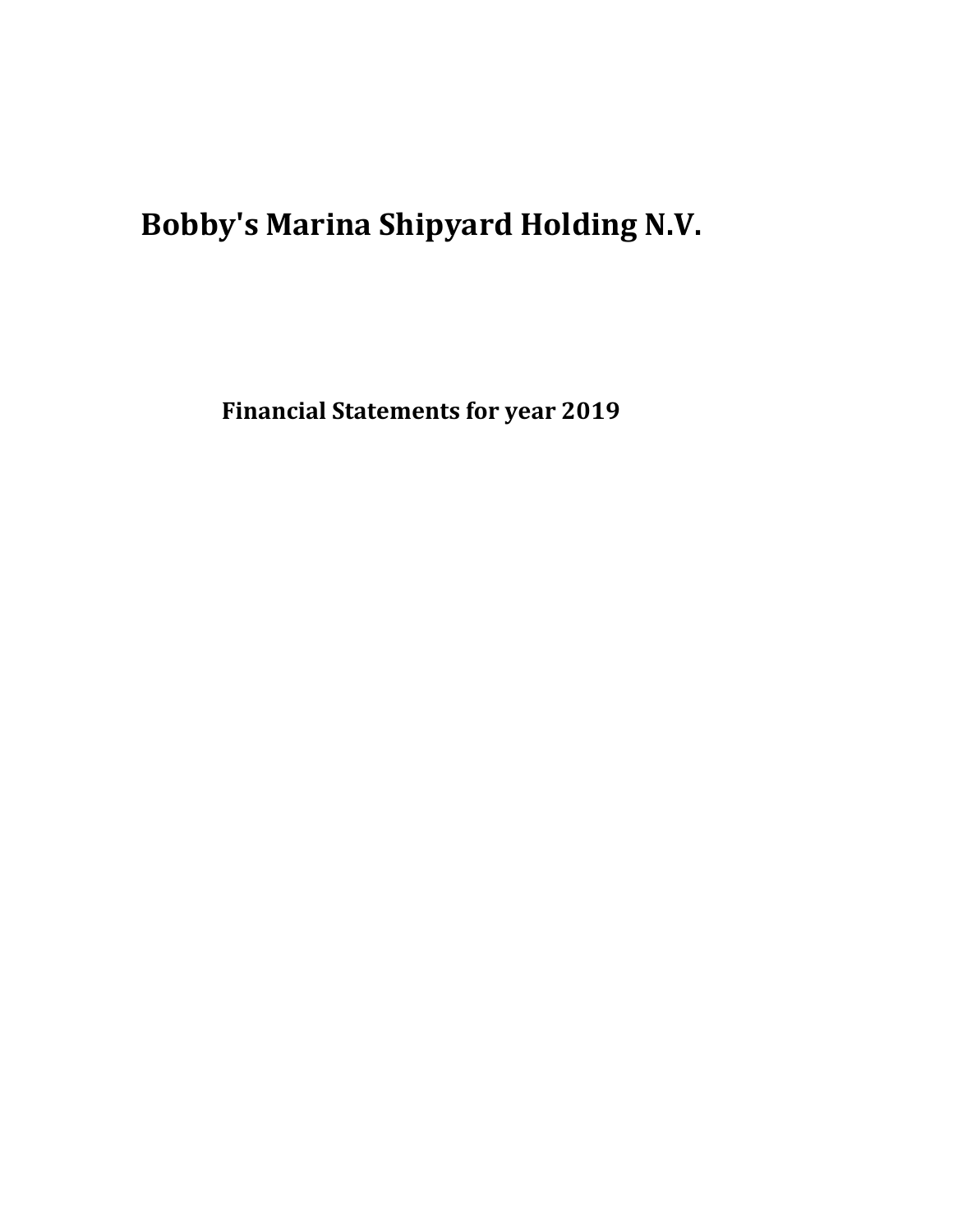# **Bobby's Marina Shipyard Holding N.V.**

**Financial Statements for year 2019**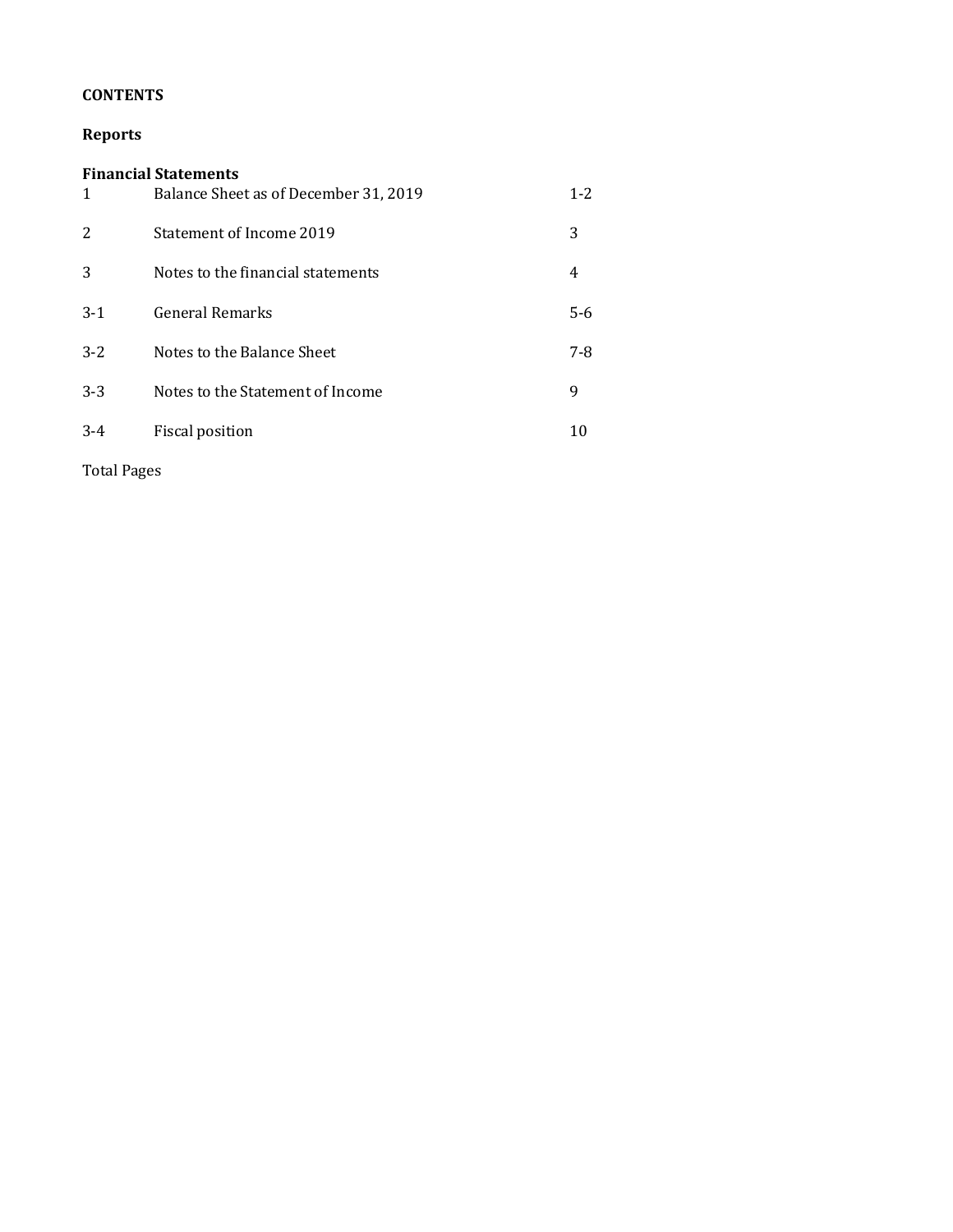## **CONTENTS**

## **Reports**

| 1     | <b>Financial Statements</b><br>Balance Sheet as of December 31, 2019 | $1 - 2$ |
|-------|----------------------------------------------------------------------|---------|
| 2     | Statement of Income 2019                                             | 3       |
| 3     | Notes to the financial statements                                    | 4       |
| $3-1$ | <b>General Remarks</b>                                               | $5-6$   |
| $3-2$ | Notes to the Balance Sheet                                           | $7 - 8$ |
| $3-3$ | Notes to the Statement of Income                                     | 9       |
| $3-4$ | Fiscal position                                                      | 10      |

Total Pages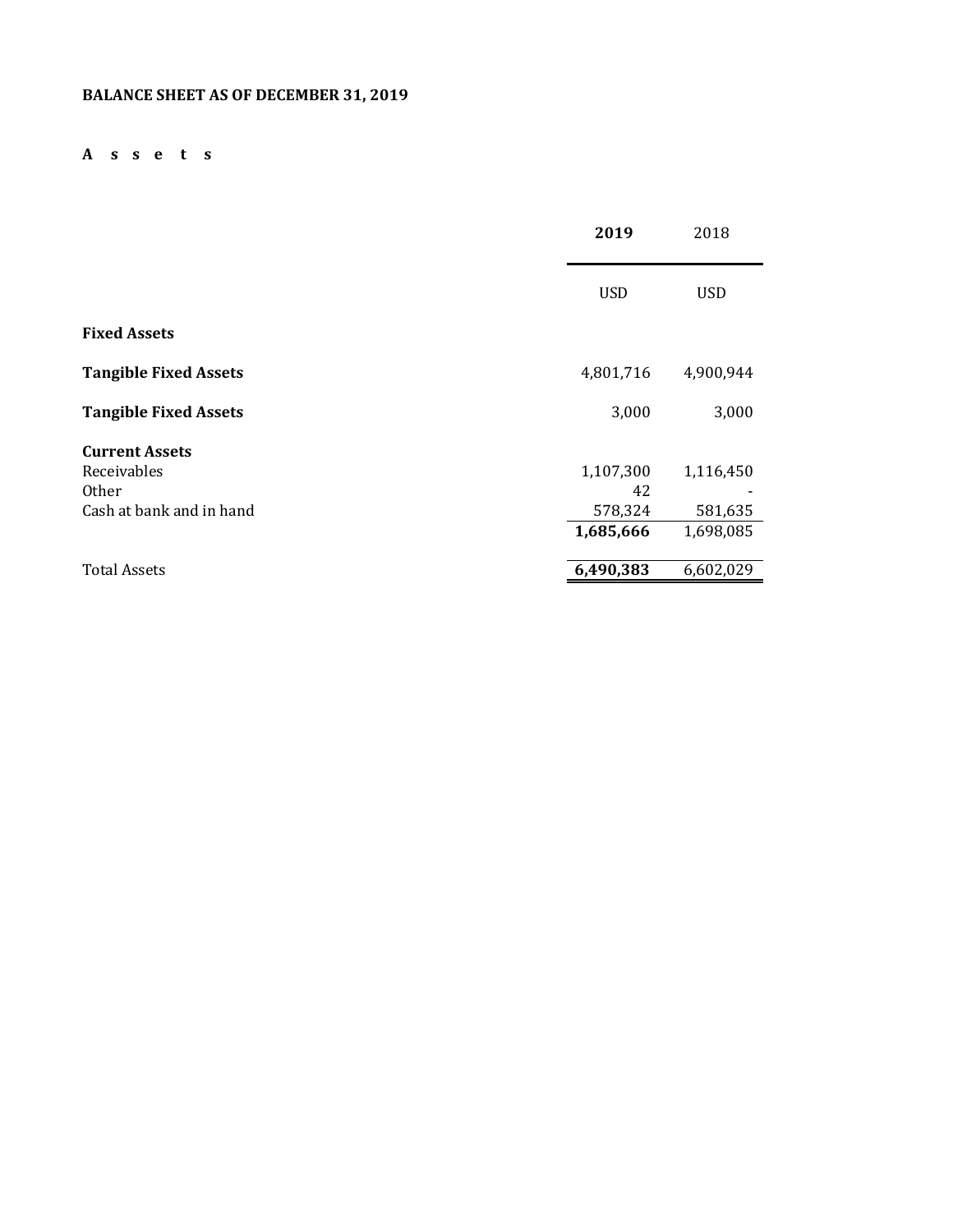## **BALANCE SHEET AS OF DECEMBER 31, 2019**

## **A s s e t s**

|                              | 2019       | 2018       |
|------------------------------|------------|------------|
|                              | <b>USD</b> | <b>USD</b> |
| <b>Fixed Assets</b>          |            |            |
| <b>Tangible Fixed Assets</b> | 4,801,716  | 4,900,944  |
| <b>Tangible Fixed Assets</b> | 3,000      | 3,000      |
| <b>Current Assets</b>        |            |            |
| Receivables                  | 1,107,300  | 1,116,450  |
| <b>Other</b>                 | 42         |            |
| Cash at bank and in hand     | 578,324    | 581,635    |
|                              | 1,685,666  | 1,698,085  |
| <b>Total Assets</b>          | 6,490,383  | 6,602,029  |
|                              |            |            |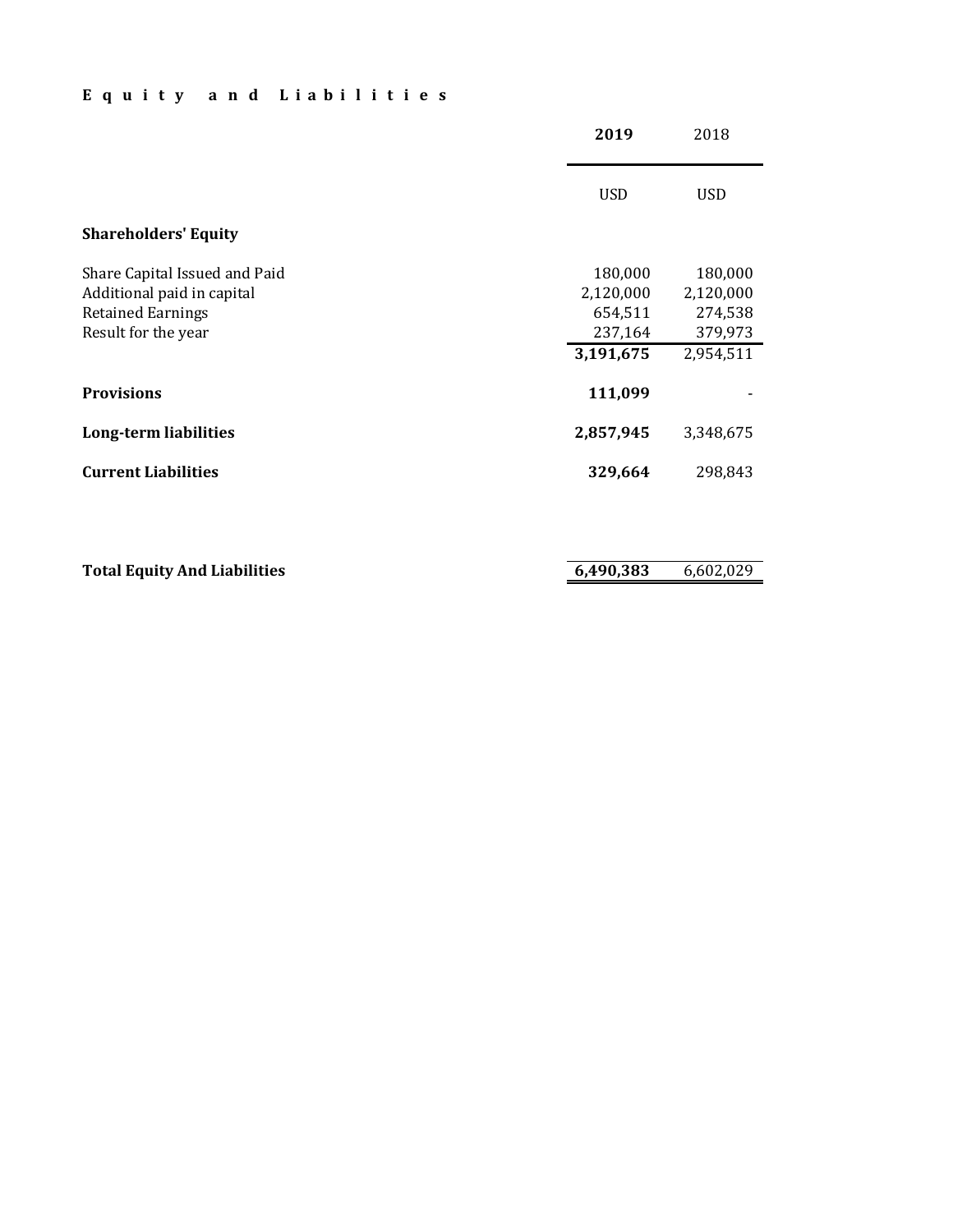# **E q u i t y a n d L i a b i l i t i e s**

|                                                                                                                | 2019                                                    | 2018                                                    |
|----------------------------------------------------------------------------------------------------------------|---------------------------------------------------------|---------------------------------------------------------|
|                                                                                                                | <b>USD</b>                                              | <b>USD</b>                                              |
| <b>Shareholders' Equity</b>                                                                                    |                                                         |                                                         |
| Share Capital Issued and Paid<br>Additional paid in capital<br><b>Retained Earnings</b><br>Result for the year | 180,000<br>2,120,000<br>654,511<br>237,164<br>3,191,675 | 180,000<br>2,120,000<br>274,538<br>379,973<br>2,954,511 |
| <b>Provisions</b>                                                                                              | 111,099                                                 |                                                         |
| <b>Long-term liabilities</b>                                                                                   | 2,857,945                                               | 3,348,675                                               |
| <b>Current Liabilities</b>                                                                                     | 329,664                                                 | 298,843                                                 |
|                                                                                                                |                                                         |                                                         |

| <b>Total Equity And Liabilities</b> | 6.490.383 | 6.602.029 |
|-------------------------------------|-----------|-----------|
|                                     |           |           |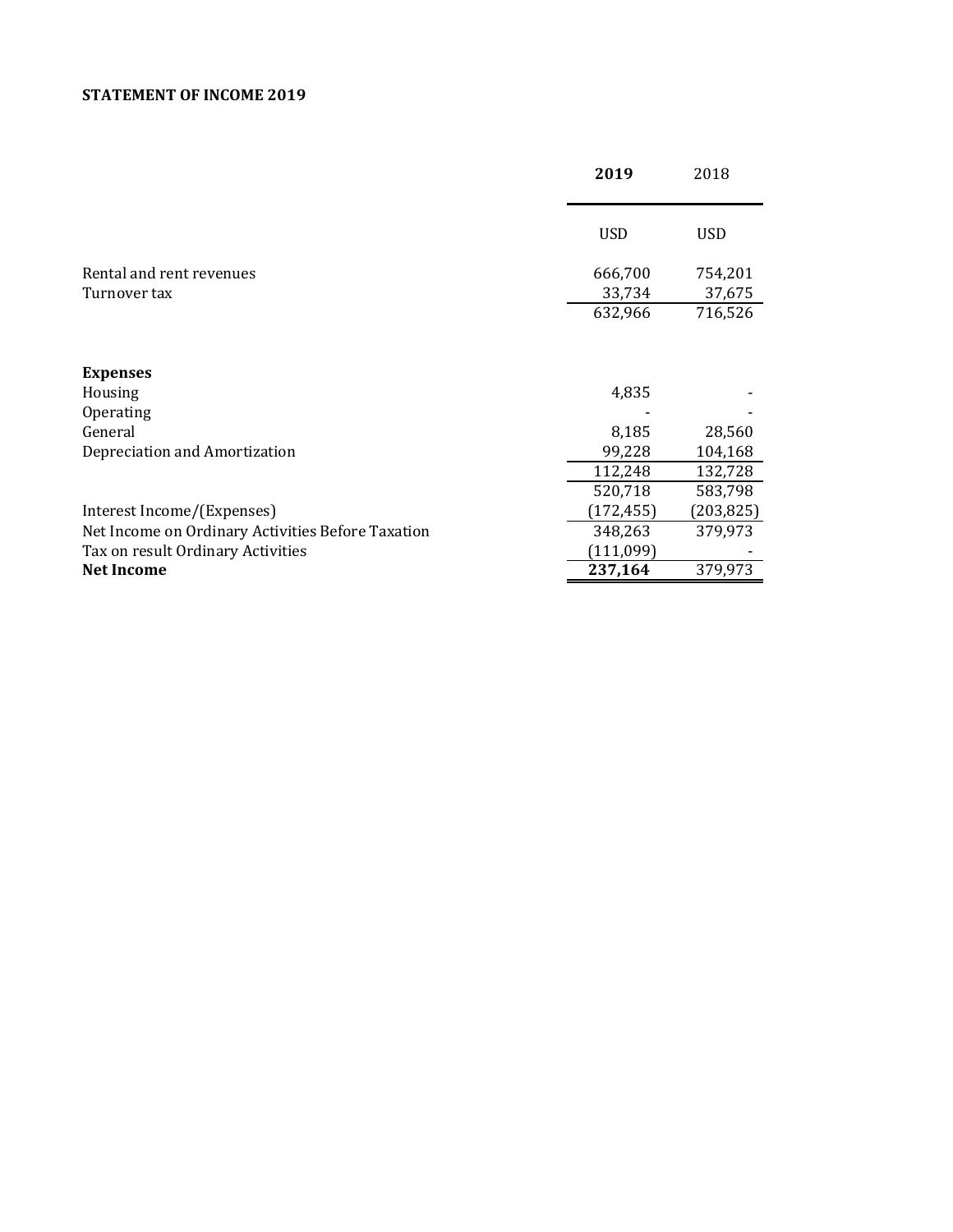## **STATEMENT OF INCOME 2019**

|                                                   | 2019       | 2018       |
|---------------------------------------------------|------------|------------|
|                                                   | <b>USD</b> | <b>USD</b> |
| Rental and rent revenues                          | 666,700    | 754,201    |
| Turnover tax                                      | 33,734     | 37,675     |
|                                                   | 632,966    | 716,526    |
|                                                   |            |            |
| <b>Expenses</b>                                   |            |            |
| Housing                                           | 4,835      |            |
| Operating                                         |            |            |
| General                                           | 8,185      | 28,560     |
| Depreciation and Amortization                     | 99,228     | 104,168    |
|                                                   | 112,248    | 132,728    |
|                                                   | 520,718    | 583,798    |
| Interest Income/(Expenses)                        | (172, 455) | (203, 825) |
| Net Income on Ordinary Activities Before Taxation | 348,263    | 379,973    |
| Tax on result Ordinary Activities                 | (111,099)  |            |
| <b>Net Income</b>                                 | 237,164    | 379,973    |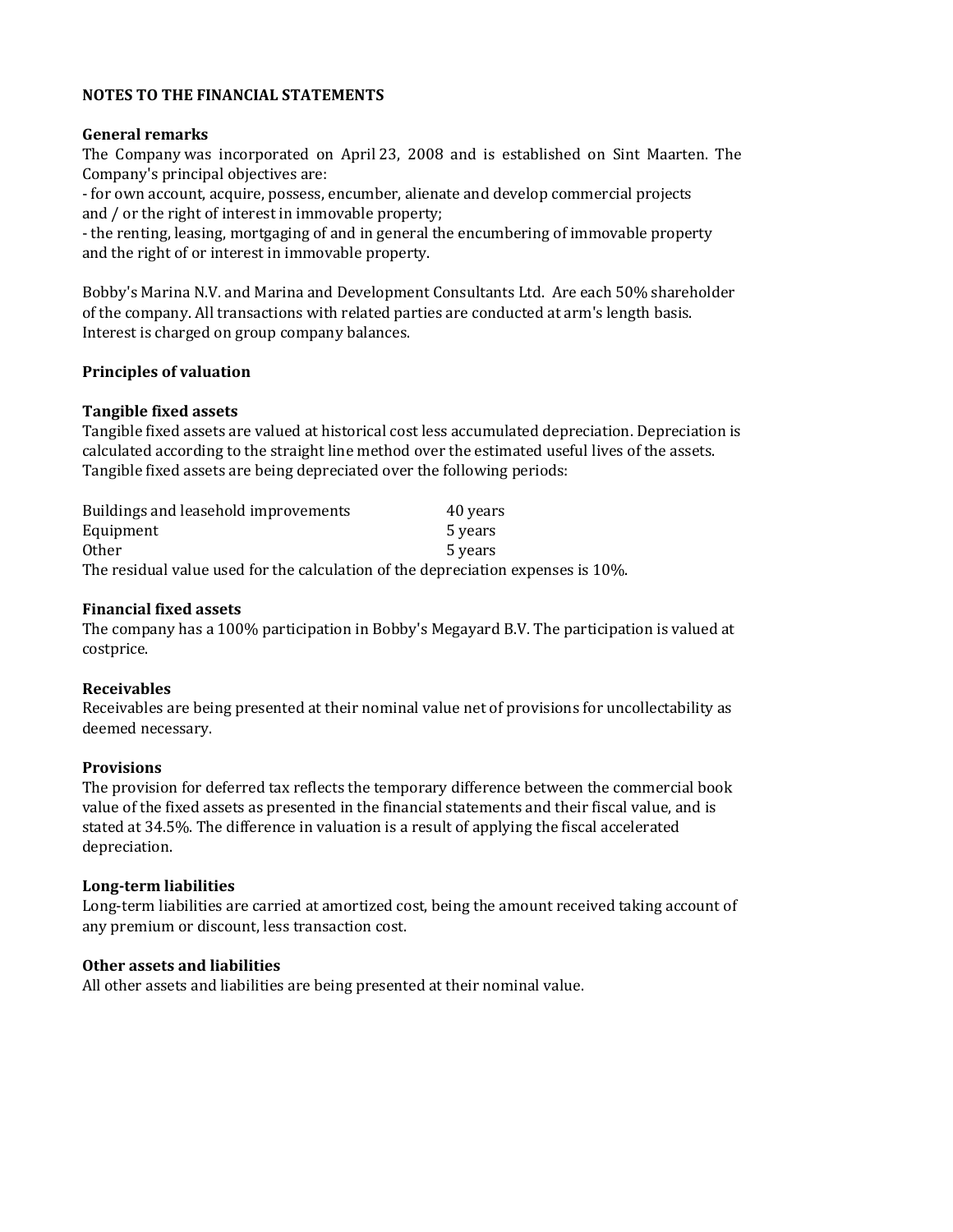#### **NOTES TO THE FINANCIAL STATEMENTS**

#### **General remarks**

The Company was incorporated on April 23, 2008 and is established on Sint Maarten. The Company's principal objectives are:

- for own account, acquire, possess, encumber, alienate and develop commercial projects and / or the right of interest in immovable property;

- the renting, leasing, mortgaging of and in general the encumbering of immovable property and the right of or interest in immovable property.

Bobby's Marina N.V. and Marina and Development Consultants Ltd. Are each 50% shareholder of the company. All transactions with related parties are conducted at arm's length basis. Interest is charged on group company balances.

#### **Principles of valuation**

#### **Tangible fixed assets**

Tangible fixed assets are valued at historical cost less accumulated depreciation. Depreciation is calculated according to the straight line method over the estimated useful lives of the assets. Tangible fixed assets are being depreciated over the following periods:

| Buildings and leasehold improvements                                             | 40 years |
|----------------------------------------------------------------------------------|----------|
| Equipment                                                                        | 5 years  |
| 0ther                                                                            | 5 years  |
| The residual value used for the calculation of the depreciation expenses is 10%. |          |

## **Financial fixed assets**

The company has a 100% participation in Bobby's Megayard B.V. The participation is valued at costprice.

#### **Receivables**

Receivables are being presented at their nominal value net of provisions for uncollectability as deemed necessary.

#### **Provisions**

The provision for deferred tax reflects the temporary difference between the commercial book value of the fixed assets as presented in the financial statements and their fiscal value, and is stated at 34.5%. The difference in valuation is a result of applying the fiscal accelerated depreciation.

#### **Long-term liabilities**

Long-term liabilities are carried at amortized cost, being the amount received taking account of any premium or discount, less transaction cost.

#### **Other assets and liabilities**

All other assets and liabilities are being presented at their nominal value.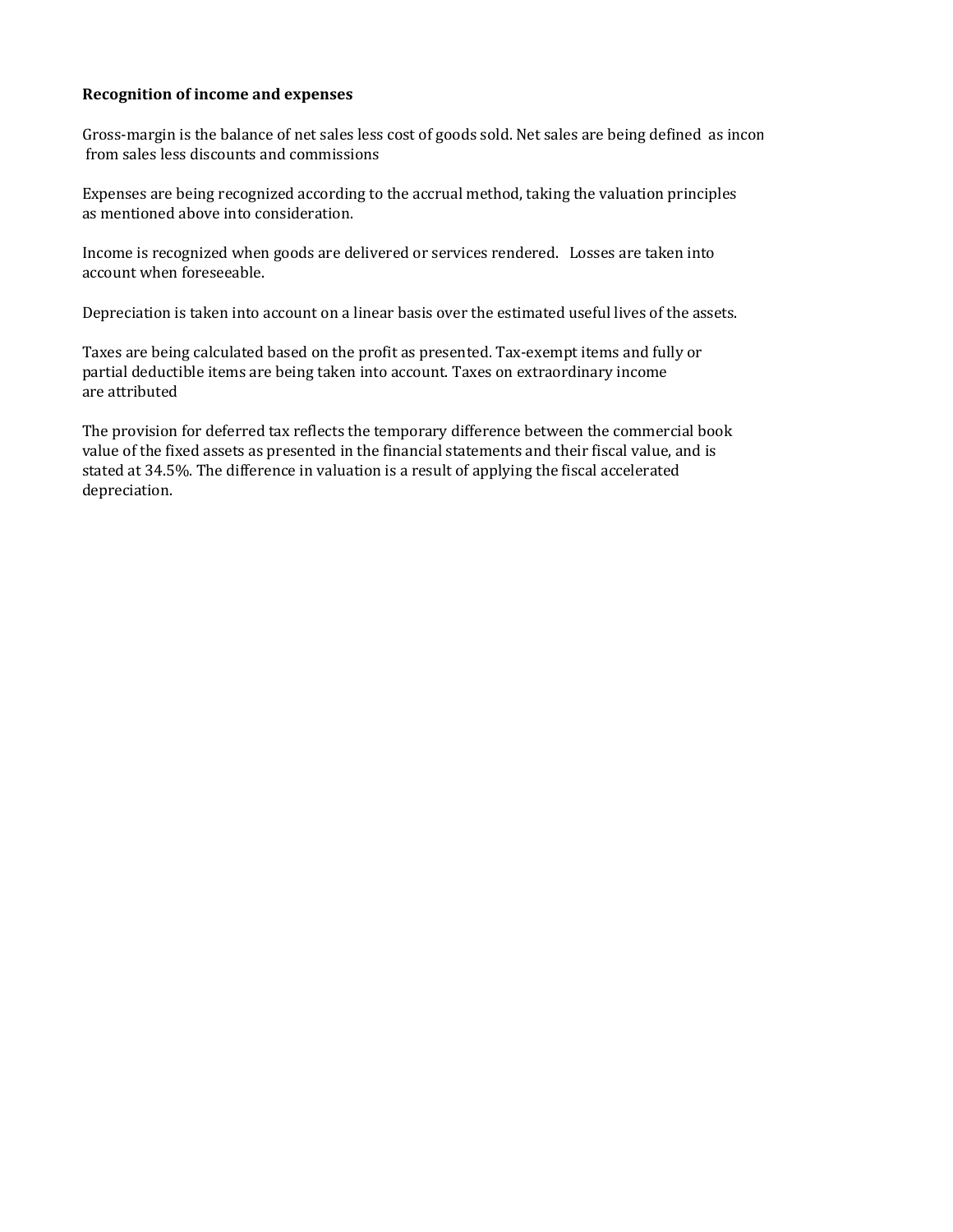#### **Recognition of income and expenses**

Gross-margin is the balance of net sales less cost of goods sold. Net sales are being defined as income from sales less discounts and commissions

Expenses are being recognized according to the accrual method, taking the valuation principles as mentioned above into consideration.

Income is recognized when goods are delivered or services rendered. Losses are taken into account when foreseeable.

Depreciation is taken into account on a linear basis over the estimated useful lives of the assets.

Taxes are being calculated based on the profit as presented. Tax-exempt items and fully or partial deductible items are being taken into account. Taxes on extraordinary income are attributed

The provision for deferred tax reflects the temporary difference between the commercial book value of the fixed assets as presented in the financial statements and their fiscal value, and is stated at 34.5%. The difference in valuation is a result of applying the fiscal accelerated depreciation.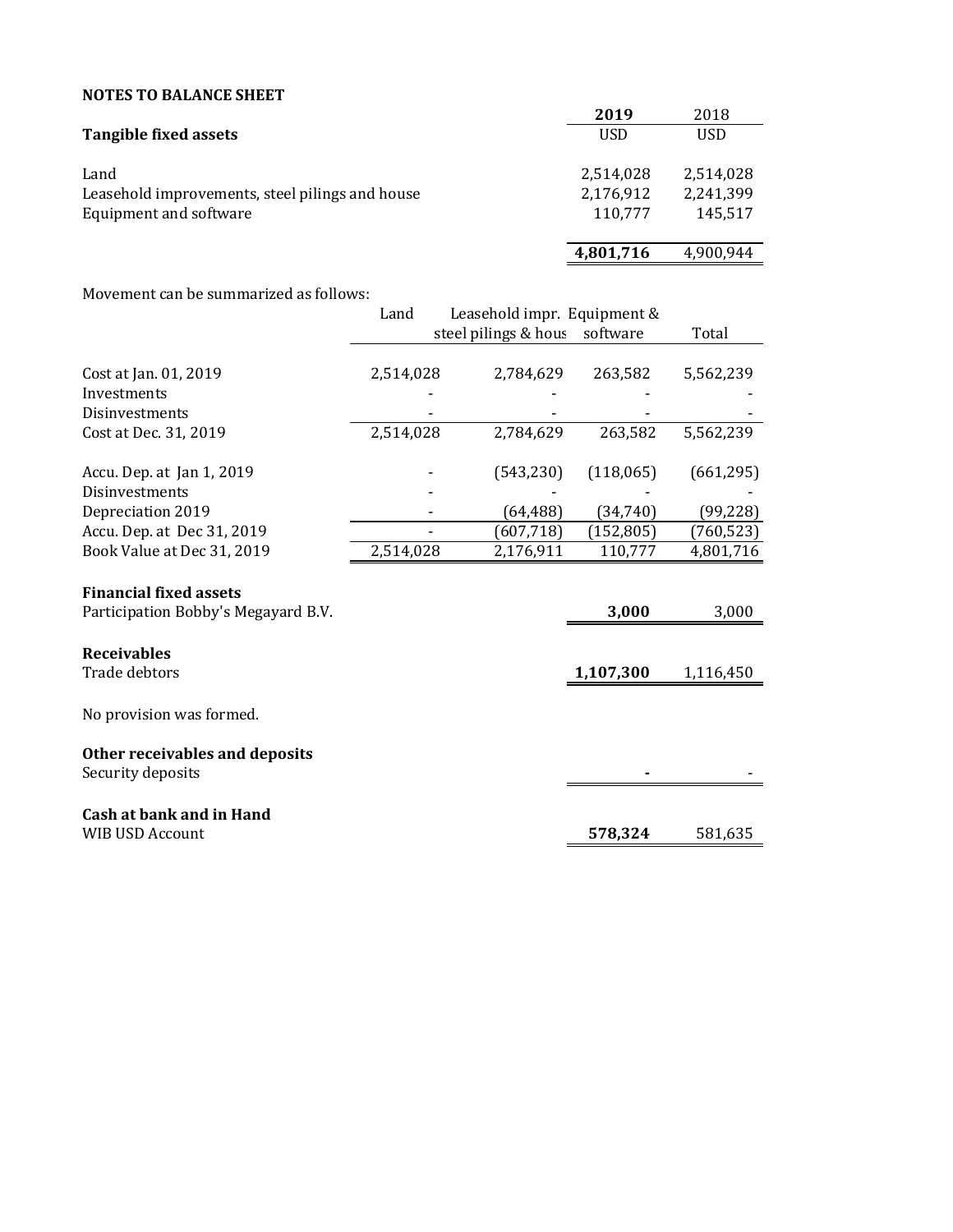## **NOTES TO BALANCE SHEET**

|                                                 | 2019       | 2018       |
|-------------------------------------------------|------------|------------|
| Tangible fixed assets                           | <b>USD</b> | <b>USD</b> |
| Land                                            | 2,514,028  | 2,514,028  |
| Leasehold improvements, steel pilings and house | 2,176,912  | 2,241,399  |
| Equipment and software                          | 110,777    | 145.517    |
|                                                 | 4,801,716  | 4,900,944  |

Movement can be summarized as follows:

|                                                           | Land      | Leasehold impr. Equipment & |            |            |
|-----------------------------------------------------------|-----------|-----------------------------|------------|------------|
|                                                           |           | steel pilings & hous        | software   | Total      |
|                                                           |           |                             |            |            |
| Cost at Jan. 01, 2019                                     | 2,514,028 | 2,784,629                   | 263,582    | 5,562,239  |
| Investments                                               |           |                             |            |            |
| Disinvestments                                            |           |                             |            |            |
| Cost at Dec. 31, 2019                                     | 2,514,028 | 2,784,629                   | 263,582    | 5,562,239  |
| Accu. Dep. at Jan 1, 2019                                 |           | (543, 230)                  | (118,065)  | (661, 295) |
| Disinvestments                                            |           |                             |            |            |
| Depreciation 2019                                         |           | (64,488)                    | (34,740)   | (99,228)   |
| Accu. Dep. at Dec 31, 2019                                |           | (607, 718)                  | (152, 805) | (760, 523) |
| Book Value at Dec 31, 2019                                | 2,514,028 | 2,176,911                   | 110,777    | 4,801,716  |
| <b>Financial fixed assets</b>                             |           |                             |            |            |
| Participation Bobby's Megayard B.V.                       |           |                             | 3,000      | 3,000      |
| <b>Receivables</b>                                        |           |                             |            |            |
| Trade debtors                                             |           |                             | 1,107,300  | 1,116,450  |
| No provision was formed.                                  |           |                             |            |            |
| Other receivables and deposits<br>Security deposits       |           |                             |            |            |
|                                                           |           |                             |            |            |
| <b>Cash at bank and in Hand</b><br><b>WIB USD Account</b> |           |                             |            |            |
|                                                           |           |                             | 578,324    | 581,635    |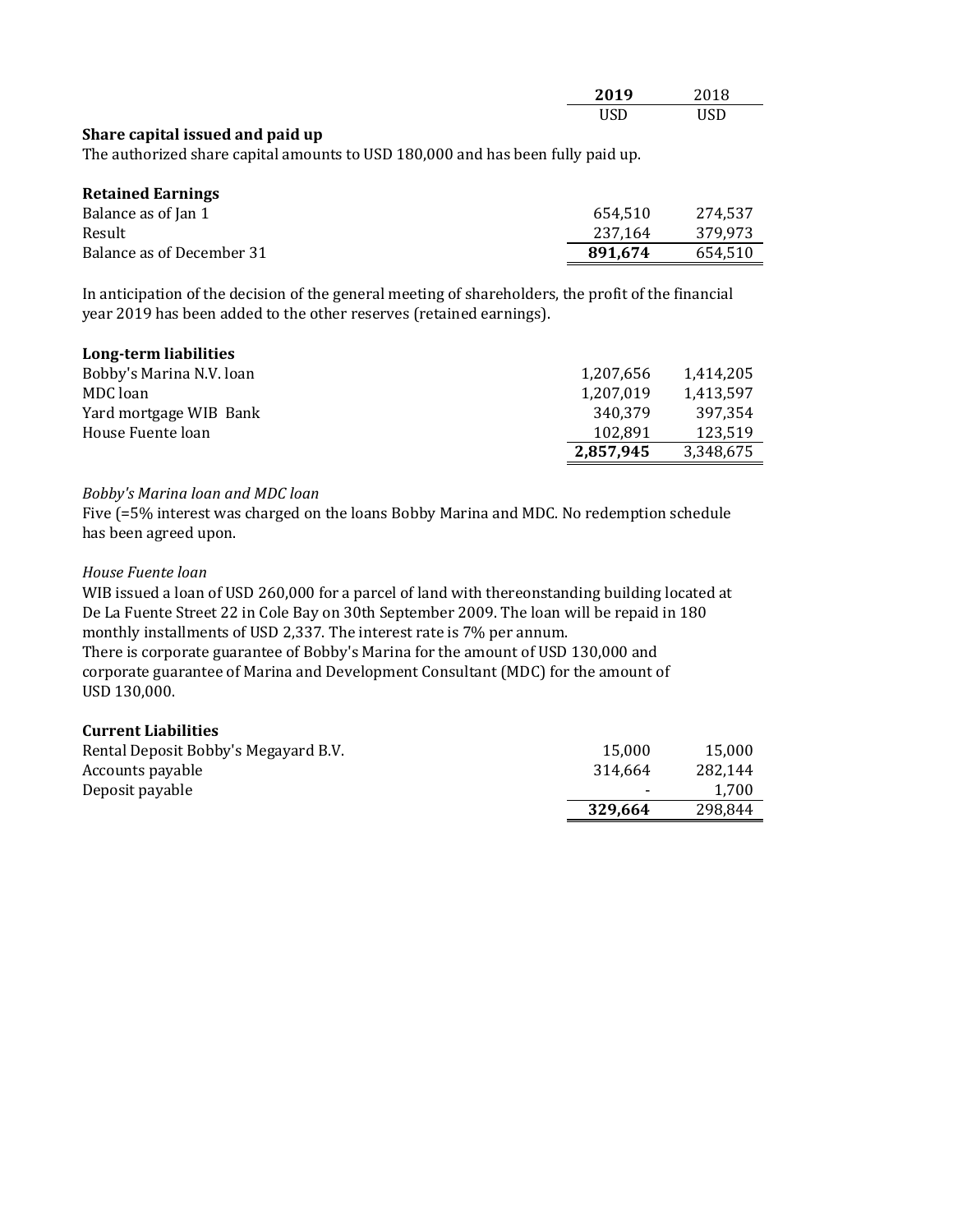| 2018<br>2019<br>40 L J |  |
|------------------------|--|
| <b>USD</b><br>USD      |  |

#### **Share capital issued and paid up**

The authorized share capital amounts to USD 180,000 and has been fully paid up.

| <b>Retained Earnings</b>  |         |         |
|---------------------------|---------|---------|
| Balance as of Jan 1       | 654.510 | 274.537 |
| Result                    | 237.164 | 379.973 |
| Balance as of December 31 | 891.674 | 654.510 |

In anticipation of the decision of the general meeting of shareholders, the profit of the financial year 2019 has been added to the other reserves (retained earnings).

#### **Long-term liabilities**

|                          | 2.857.945 | 3,348,675 |
|--------------------------|-----------|-----------|
| House Fuente loan        | 102.891   | 123.519   |
| Yard mortgage WIB Bank   | 340.379   | 397.354   |
| MDC loan                 | 1.207.019 | 1.413.597 |
| Bobby's Marina N.V. loan | 1,207,656 | 1.414.205 |
|                          |           |           |

#### *Bobby's Marina loan and MDC loan*

Five (=5% interest was charged on the loans Bobby Marina and MDC. No redemption schedule has been agreed upon.

#### *House Fuente loan*

WIB issued a loan of USD 260,000 for a parcel of land with thereonstanding building located at De La Fuente Street 22 in Cole Bay on 30th September 2009. The loan will be repaid in 180 monthly installments of USD 2,337. The interest rate is 7% per annum.

There is corporate guarantee of Bobby's Marina for the amount of USD 130,000 and corporate guarantee of Marina and Development Consultant (MDC) for the amount of USD 130,000.

#### **Current Liabilities**

| Rental Deposit Bobby's Megayard B.V. | 15.000  | 15.000  |
|--------------------------------------|---------|---------|
| Accounts payable                     | 314.664 | 282.144 |
| Deposit payable                      |         | 1.700   |
|                                      | 329.664 | 298.844 |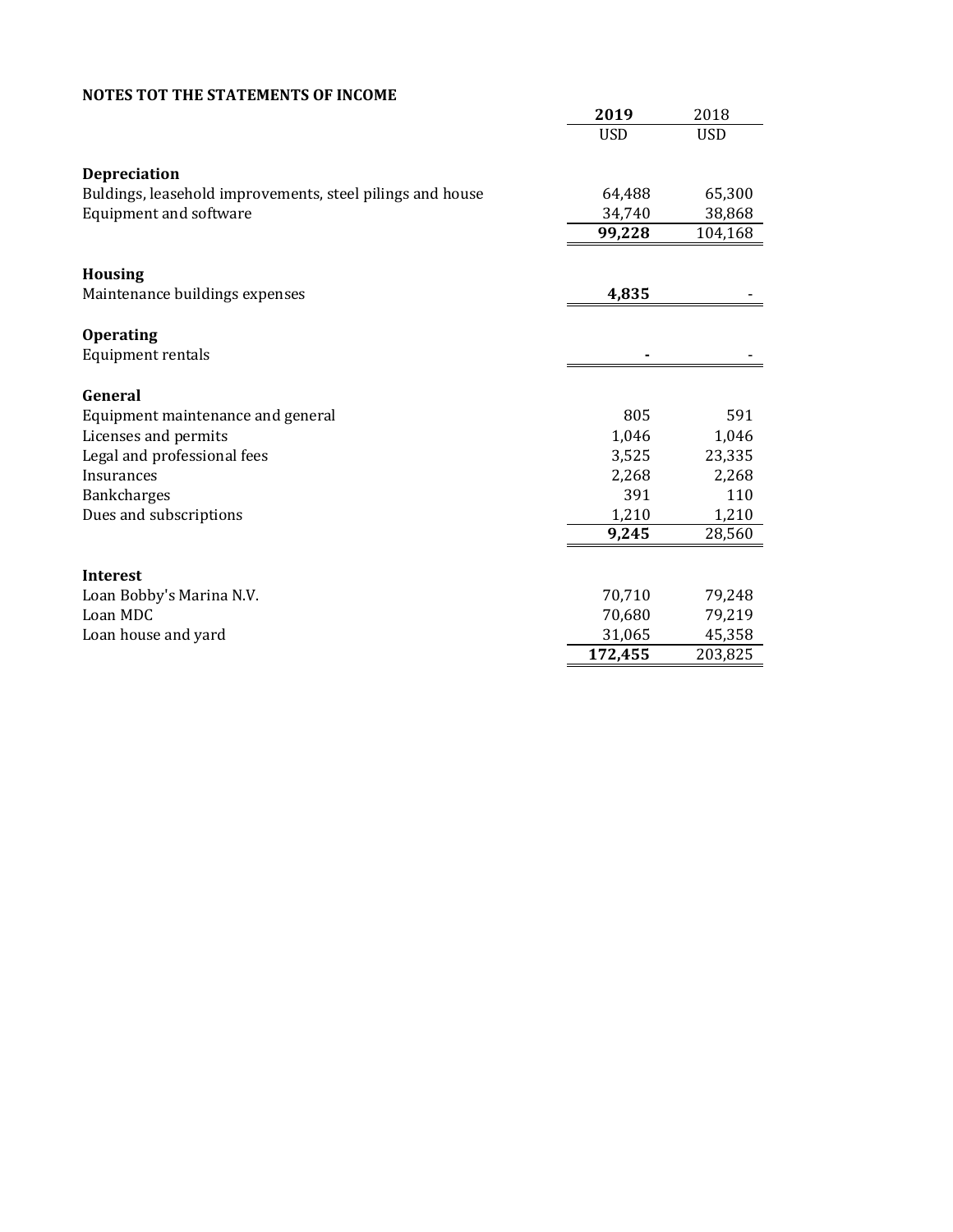## **NOTES TOT THE STATEMENTS OF INCOME**

|                                                           | 2019       | 2018       |
|-----------------------------------------------------------|------------|------------|
|                                                           | <b>USD</b> | <b>USD</b> |
| <b>Depreciation</b>                                       |            |            |
| Buldings, leasehold improvements, steel pilings and house | 64,488     | 65,300     |
| Equipment and software                                    | 34,740     | 38,868     |
|                                                           | 99,228     | 104,168    |
| <b>Housing</b>                                            |            |            |
| Maintenance buildings expenses                            | 4,835      |            |
| <b>Operating</b>                                          |            |            |
| Equipment rentals                                         |            |            |
| General                                                   |            |            |
| Equipment maintenance and general                         | 805        | 591        |
| Licenses and permits                                      | 1,046      | 1,046      |
| Legal and professional fees                               | 3,525      | 23,335     |
| Insurances                                                | 2,268      | 2,268      |
| Bankcharges                                               | 391        | 110        |
| Dues and subscriptions                                    | 1,210      | 1,210      |
|                                                           | 9,245      | 28,560     |
| <b>Interest</b>                                           |            |            |
| Loan Bobby's Marina N.V.                                  | 70,710     | 79,248     |
| Loan MDC                                                  | 70,680     | 79,219     |
| Loan house and yard                                       | 31,065     | 45,358     |
|                                                           | 172,455    | 203,825    |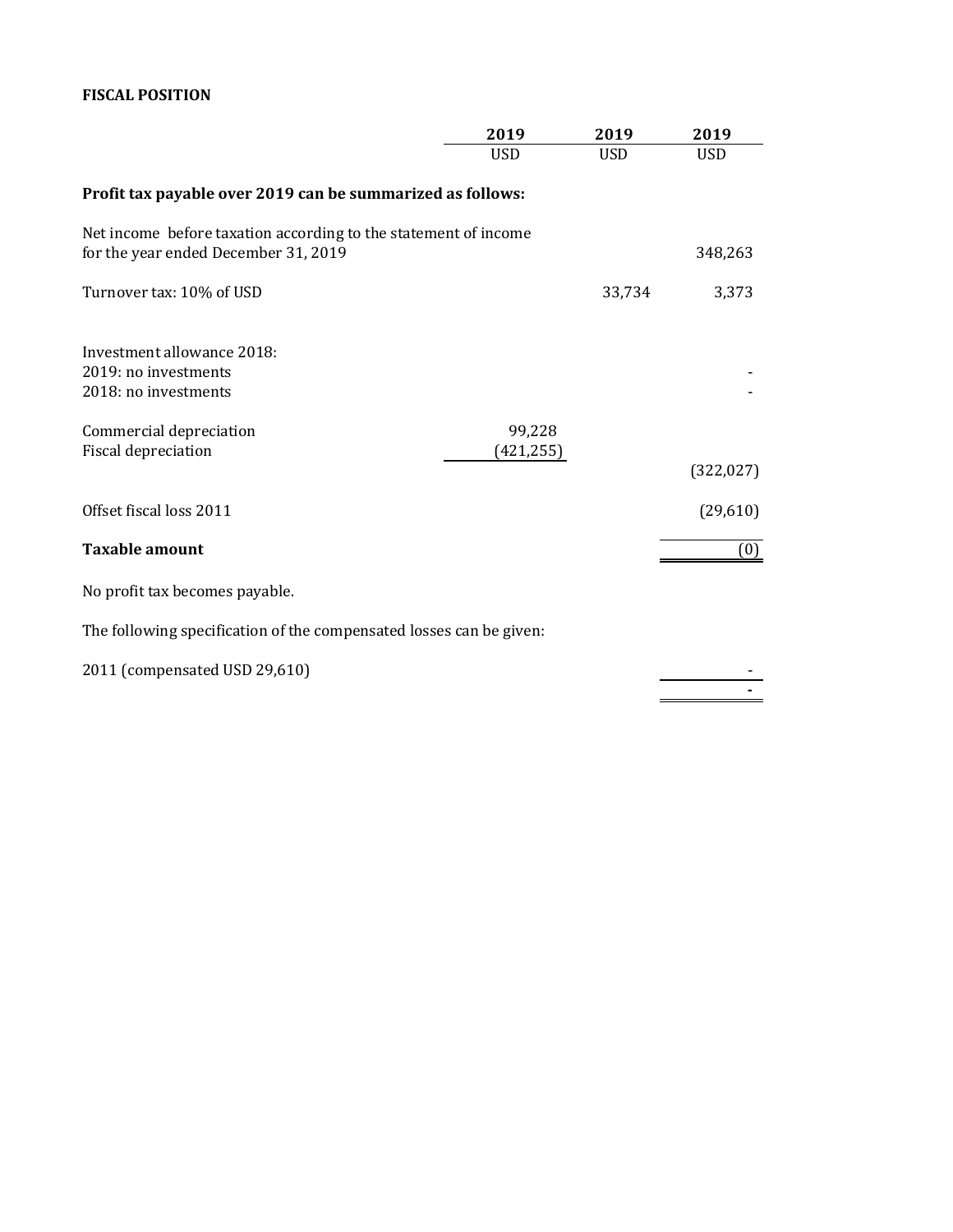## **FISCAL POSITION**

|                                                                                                         | 2019                 | 2019       | 2019       |
|---------------------------------------------------------------------------------------------------------|----------------------|------------|------------|
|                                                                                                         | <b>USD</b>           | <b>USD</b> | <b>USD</b> |
| Profit tax payable over 2019 can be summarized as follows:                                              |                      |            |            |
| Net income before taxation according to the statement of income<br>for the year ended December 31, 2019 |                      |            | 348,263    |
| Turnover tax: 10% of USD                                                                                |                      | 33,734     | 3,373      |
| Investment allowance 2018:<br>2019: no investments<br>2018: no investments                              |                      |            |            |
| Commercial depreciation<br>Fiscal depreciation                                                          | 99,228<br>(421, 255) |            | (322,027)  |
| Offset fiscal loss 2011                                                                                 |                      |            | (29,610)   |
| <b>Taxable amount</b>                                                                                   |                      |            | (0)        |
| No profit tax becomes payable.                                                                          |                      |            |            |
| The following specification of the compensated losses can be given:                                     |                      |            |            |
| 2011 (compensated USD 29,610)                                                                           |                      |            |            |
|                                                                                                         |                      |            |            |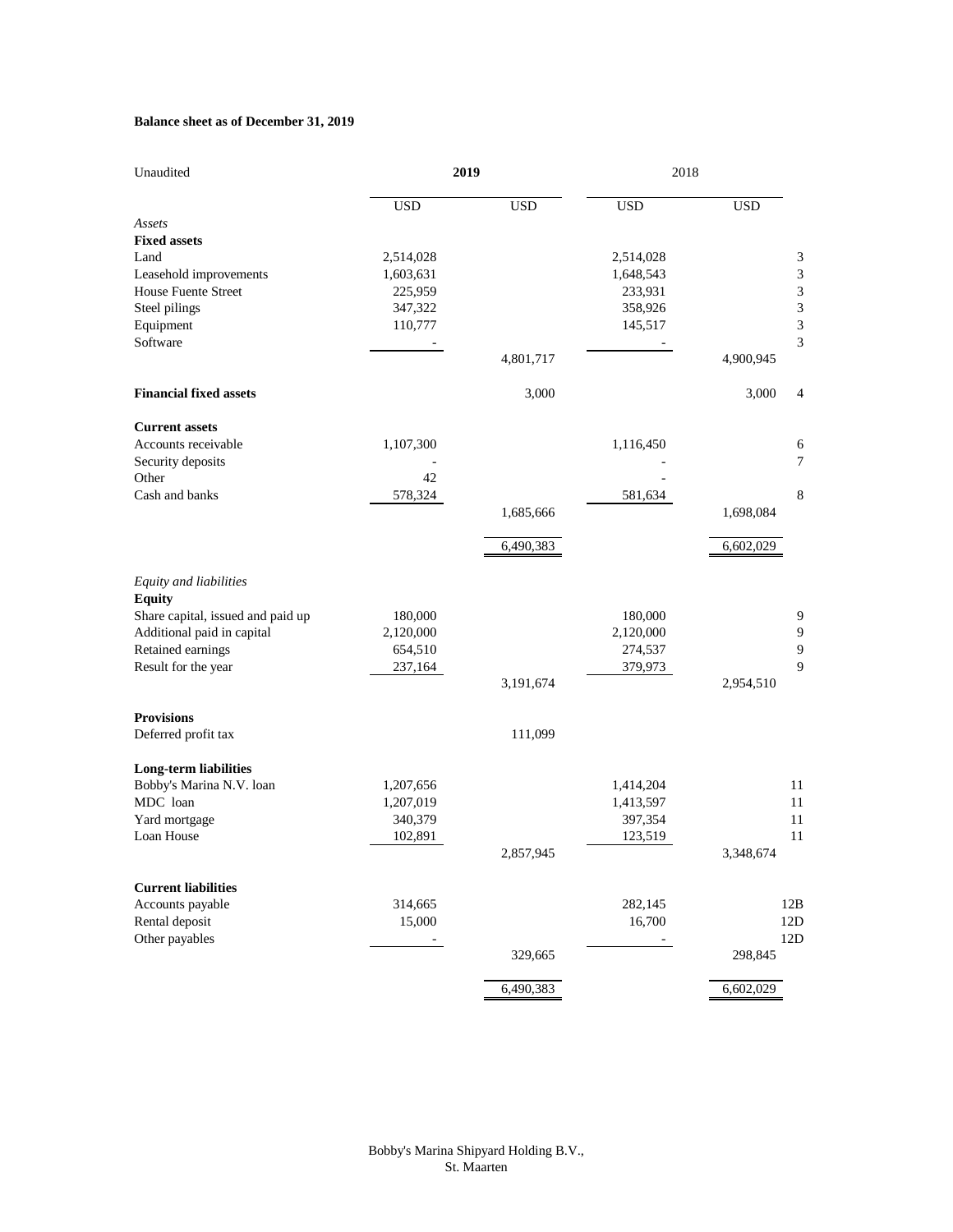#### **Balance sheet as of December 31, 2019**

| Unaudited                         | 2019       |            | 2018       |                  |  |
|-----------------------------------|------------|------------|------------|------------------|--|
|                                   | <b>USD</b> | <b>USD</b> | <b>USD</b> | <b>USD</b>       |  |
| Assets                            |            |            |            |                  |  |
| <b>Fixed assets</b>               |            |            |            |                  |  |
| Land                              | 2,514,028  |            | 2,514,028  | 3                |  |
| Leasehold improvements            | 1,603,631  |            | 1,648,543  | 3                |  |
| <b>House Fuente Street</b>        | 225,959    |            | 233,931    | 3                |  |
| Steel pilings                     | 347,322    |            | 358,926    | $\sqrt{3}$       |  |
| Equipment                         | 110,777    |            | 145,517    | 3                |  |
| Software                          |            |            |            | 3                |  |
|                                   |            | 4,801,717  |            | 4,900,945        |  |
| <b>Financial fixed assets</b>     |            | 3,000      |            | 3,000<br>4       |  |
| <b>Current assets</b>             |            |            |            |                  |  |
| Accounts receivable               | 1,107,300  |            | 1,116,450  | 6                |  |
| Security deposits                 |            |            |            | $\boldsymbol{7}$ |  |
| Other                             | 42         |            |            |                  |  |
| Cash and banks                    | 578,324    |            | 581,634    | 8                |  |
|                                   |            | 1,685,666  |            | 1,698,084        |  |
|                                   |            | 6,490,383  |            | 6,602,029        |  |
| Equity and liabilities            |            |            |            |                  |  |
| <b>Equity</b>                     |            |            |            |                  |  |
| Share capital, issued and paid up | 180,000    |            | 180,000    | $\overline{9}$   |  |
| Additional paid in capital        | 2,120,000  |            | 2,120,000  | 9                |  |
| Retained earnings                 | 654,510    |            | 274,537    | $\overline{9}$   |  |
| Result for the year               | 237,164    |            | 379,973    | 9                |  |
|                                   |            | 3,191,674  |            | 2,954,510        |  |
| <b>Provisions</b>                 |            |            |            |                  |  |
| Deferred profit tax               |            | 111,099    |            |                  |  |
| <b>Long-term liabilities</b>      |            |            |            |                  |  |
| Bobby's Marina N.V. loan          | 1,207,656  |            | 1,414,204  | 11               |  |
| MDC loan                          | 1,207,019  |            | 1,413,597  | 11               |  |
| Yard mortgage                     | 340,379    |            | 397,354    | 11               |  |
| Loan House                        | 102,891    |            | 123,519    | 11               |  |
|                                   |            | 2,857,945  |            | 3,348,674        |  |
| <b>Current liabilities</b>        |            |            |            |                  |  |
| Accounts payable                  | 314,665    |            | 282,145    | 12B              |  |
| Rental deposit                    | 15,000     |            | 16,700     | 12D              |  |
| Other payables                    |            |            |            | 12D              |  |
|                                   |            | 329,665    |            | 298,845          |  |
|                                   |            | 6,490,383  |            | 6,602,029        |  |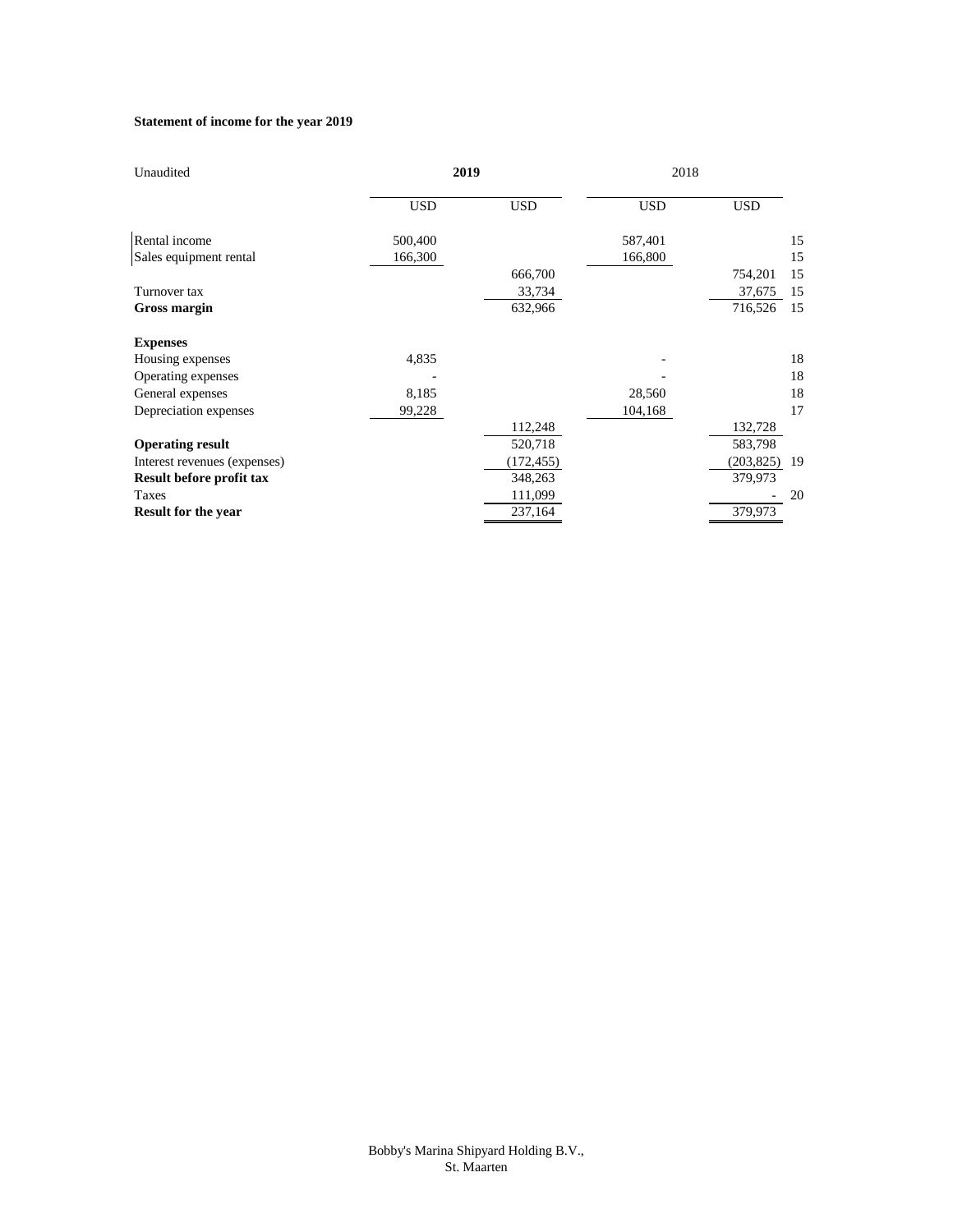#### **Statement of income for the year 2019**

| Unaudited                    | 2019       |            | 2018       |            |    |
|------------------------------|------------|------------|------------|------------|----|
|                              | <b>USD</b> | <b>USD</b> | <b>USD</b> | <b>USD</b> |    |
| Rental income                | 500,400    |            | 587,401    |            | 15 |
| Sales equipment rental       | 166,300    |            | 166,800    |            | 15 |
|                              |            | 666,700    |            | 754,201    | 15 |
| Turnover tax                 |            | 33,734     |            | 37,675     | 15 |
| Gross margin                 |            | 632,966    |            | 716,526    | 15 |
| <b>Expenses</b>              |            |            |            |            |    |
| Housing expenses             | 4,835      |            |            |            | 18 |
| Operating expenses           |            |            |            |            | 18 |
| General expenses             | 8,185      |            | 28,560     |            | 18 |
| Depreciation expenses        | 99,228     |            | 104,168    |            | 17 |
|                              |            | 112,248    |            | 132,728    |    |
| <b>Operating result</b>      |            | 520,718    |            | 583,798    |    |
| Interest revenues (expenses) |            | (172, 455) |            | (203, 825) | 19 |
| Result before profit tax     |            | 348,263    |            | 379,973    |    |
| Taxes                        |            | 111,099    |            |            | 20 |
| <b>Result for the year</b>   |            | 237,164    |            | 379,973    |    |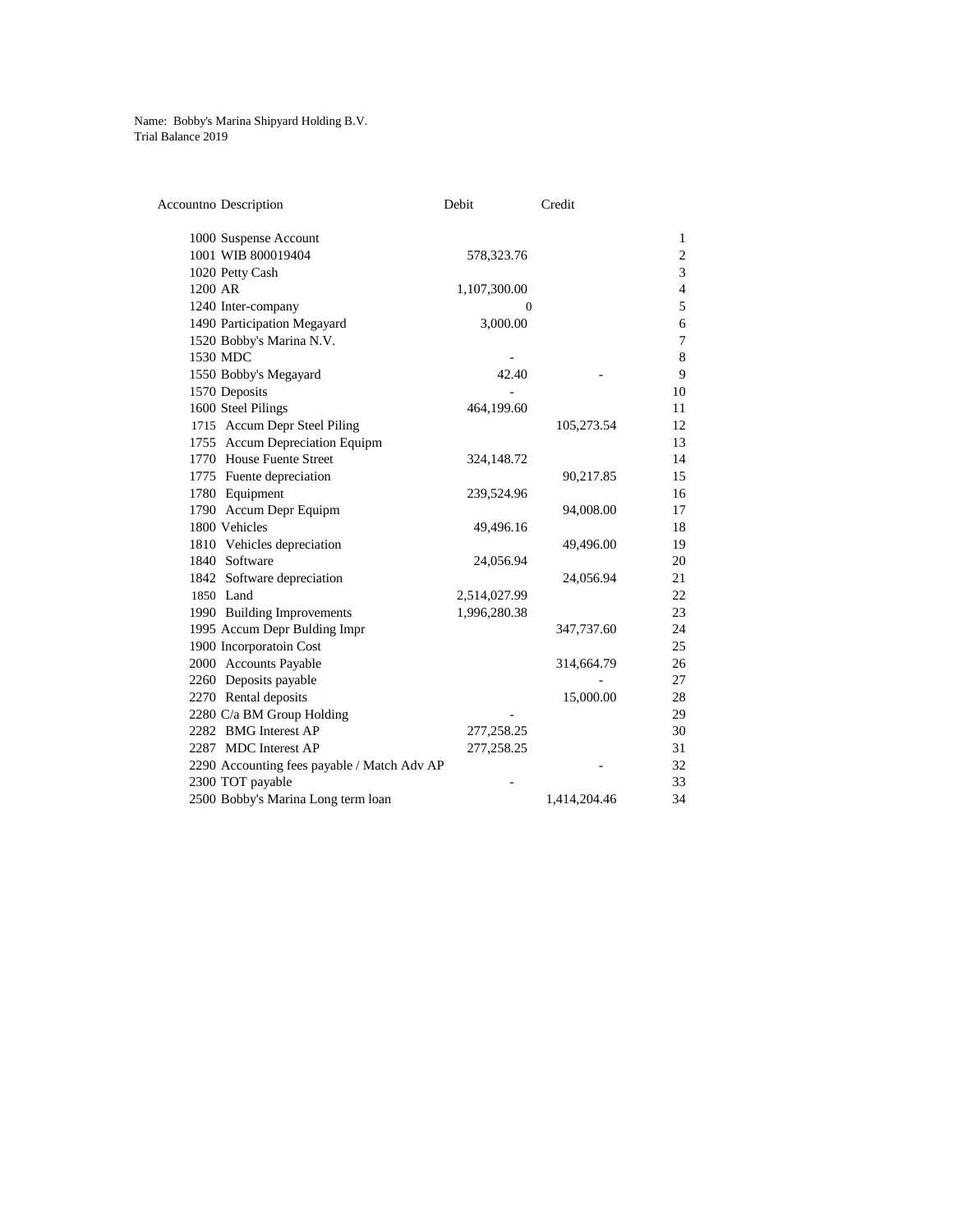Name: Bobby's Marina Shipyard Holding B.V. Trial Balance 2019

|         | <b>Accountno Description</b>                | Debit        | Credit       |                |
|---------|---------------------------------------------|--------------|--------------|----------------|
|         | 1000 Suspense Account                       |              |              | $\mathbf{1}$   |
|         | 1001 WIB 800019404                          | 578,323.76   |              | $\overline{c}$ |
|         | 1020 Petty Cash                             |              |              | $\overline{3}$ |
| 1200 AR |                                             | 1,107,300.00 |              | $\overline{4}$ |
|         | 1240 Inter-company                          | $\Omega$     |              | 5              |
|         | 1490 Participation Megayard                 | 3,000.00     |              | 6              |
|         | 1520 Bobby's Marina N.V.                    |              |              | $\overline{7}$ |
|         | 1530 MDC                                    |              |              | 8              |
|         | 1550 Bobby's Megayard                       | 42.40        |              | 9              |
|         | 1570 Deposits                               |              |              | 10             |
|         | 1600 Steel Pilings                          | 464,199.60   |              | 11             |
|         | 1715 Accum Depr Steel Piling                |              | 105,273.54   | 12             |
|         | 1755 Accum Depreciation Equipm              |              |              | 13             |
|         | 1770 House Fuente Street                    | 324,148.72   |              | 14             |
|         | 1775 Fuente depreciation                    |              | 90,217.85    | 15             |
|         | 1780 Equipment                              | 239,524.96   |              | 16             |
|         | 1790 Accum Depr Equipm                      |              | 94,008.00    | 17             |
|         | 1800 Vehicles                               | 49,496.16    |              | 18             |
|         | 1810 Vehicles depreciation                  |              | 49,496.00    | 19             |
|         | 1840 Software                               | 24,056.94    |              | 20             |
|         | 1842 Software depreciation                  |              | 24,056.94    | 21             |
|         | 1850 Land                                   | 2,514,027.99 |              | 22             |
|         | 1990 Building Improvements                  | 1,996,280.38 |              | 23             |
|         | 1995 Accum Depr Bulding Impr                |              | 347,737.60   | 24             |
|         | 1900 Incorporatoin Cost                     |              |              | 25             |
|         | 2000 Accounts Payable                       |              | 314,664.79   | 26             |
|         | 2260 Deposits payable                       |              |              | 27             |
|         | 2270 Rental deposits                        |              | 15,000.00    | 28             |
|         | 2280 C/a BM Group Holding                   |              |              | 29             |
|         | 2282 BMG Interest AP                        | 277,258.25   |              | 30             |
|         | 2287 MDC Interest AP                        | 277,258.25   |              | 31             |
|         | 2290 Accounting fees payable / Match Adv AP |              |              | 32             |
|         | 2300 TOT payable                            |              |              | 33             |
|         | 2500 Bobby's Marina Long term loan          |              | 1,414,204.46 | 34             |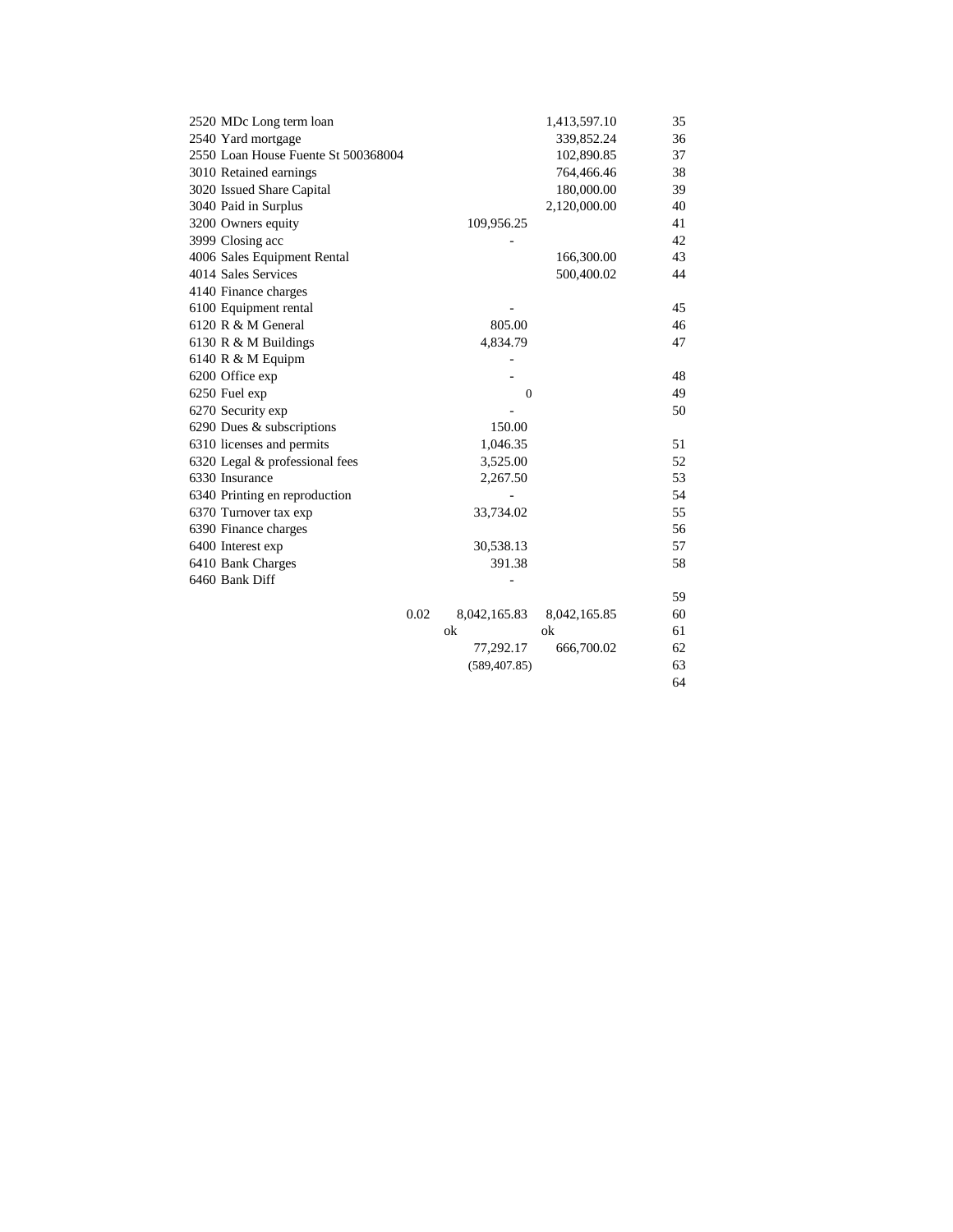| 2520 MDc Long term loan             |      |                | 1,413,597.10 | 35 |
|-------------------------------------|------|----------------|--------------|----|
| 2540 Yard mortgage                  |      |                | 339,852.24   | 36 |
| 2550 Loan House Fuente St 500368004 |      |                | 102,890.85   | 37 |
| 3010 Retained earnings              |      |                | 764,466.46   | 38 |
| 3020 Issued Share Capital           |      |                | 180,000.00   | 39 |
| 3040 Paid in Surplus                |      |                | 2,120,000.00 | 40 |
| 3200 Owners equity                  |      | 109,956.25     |              | 41 |
| 3999 Closing acc                    |      |                |              | 42 |
| 4006 Sales Equipment Rental         |      |                | 166,300.00   | 43 |
| 4014 Sales Services                 |      |                | 500,400.02   | 44 |
| 4140 Finance charges                |      |                |              |    |
| 6100 Equipment rental               |      |                |              | 45 |
| 6120 R & M General                  |      | 805.00         |              | 46 |
| 6130 R $&$ M Buildings              |      | 4,834.79       |              | 47 |
| 6140 R $&$ M Equipm                 |      |                |              |    |
| 6200 Office exp                     |      |                |              | 48 |
| 6250 Fuel exp                       |      | $\overline{0}$ |              | 49 |
| 6270 Security exp                   |      |                |              | 50 |
| 6290 Dues & subscriptions           |      | 150.00         |              |    |
| 6310 licenses and permits           |      | 1,046.35       |              | 51 |
| 6320 Legal & professional fees      |      | 3,525.00       |              | 52 |
| 6330 Insurance                      |      | 2,267.50       |              | 53 |
| 6340 Printing en reproduction       |      |                |              | 54 |
| 6370 Turnover tax exp               |      | 33,734.02      |              | 55 |
| 6390 Finance charges                |      |                |              | 56 |
| 6400 Interest exp                   |      | 30,538.13      |              | 57 |
| 6410 Bank Charges                   |      | 391.38         |              | 58 |
| 6460 Bank Diff                      |      |                |              |    |
|                                     |      |                |              | 59 |
|                                     | 0.02 | 8,042,165.83   | 8,042,165.85 | 60 |
|                                     |      | ok             | ok           | 61 |
|                                     |      | 77,292.17      | 666,700.02   | 62 |
|                                     |      | (589, 407.85)  |              | 63 |
|                                     |      |                |              |    |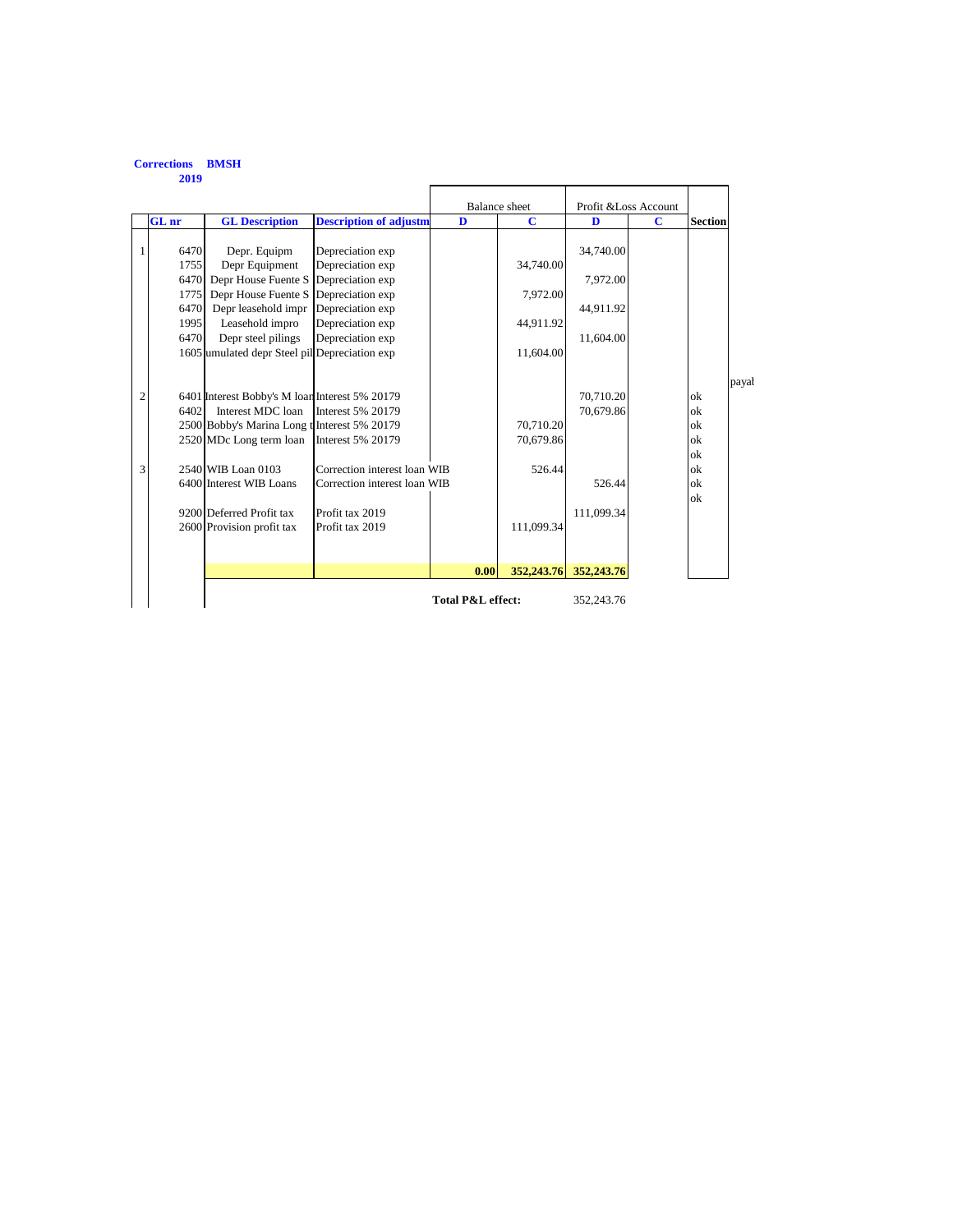#### **Corrections BMSH**

|              |              |                                                |                               |              |      | <b>Balance</b> sheet | Profit & Loss Account |             |                |
|--------------|--------------|------------------------------------------------|-------------------------------|--------------|------|----------------------|-----------------------|-------------|----------------|
|              | <b>GL</b> nr | <b>GL Description</b>                          | <b>Description of adjustm</b> | $\mathbf{D}$ |      | $\mathbf C$          | D                     | $\mathbf C$ | <b>Section</b> |
|              |              |                                                |                               |              |      |                      |                       |             |                |
| 1            | 6470         | Depr. Equipm                                   | Depreciation exp              |              |      |                      | 34,740.00             |             |                |
|              | 1755         | Depr Equipment                                 | Depreciation exp              |              |      | 34,740.00            |                       |             |                |
|              | 6470         | Depr House Fuente S Depreciation exp           |                               |              |      |                      | 7,972.00              |             |                |
|              | 1775         | Depr House Fuente S                            | Depreciation exp              |              |      | 7,972.00             |                       |             |                |
|              | 6470         | Depr leasehold impr                            | Depreciation exp              |              |      |                      | 44,911.92             |             |                |
|              | 1995         | Leasehold impro                                | Depreciation exp              |              |      | 44.911.92            |                       |             |                |
|              | 6470         | Depr steel pilings                             | Depreciation exp              |              |      |                      | 11,604.00             |             |                |
|              |              | 1605 umulated depr Steel pil Depreciation exp  |                               |              |      | 11,604.00            |                       |             |                |
|              |              |                                                |                               |              |      |                      |                       |             |                |
| $\mathbf{2}$ |              | 6401 Interest Bobby's M loan Interest 5% 20179 |                               |              |      |                      | 70,710.20             |             | ok             |
|              | 6402         | Interest MDC loan                              | Interest 5% 20179             |              |      |                      | 70,679.86             |             | ok             |
|              |              | 2500 Bobby's Marina Long t Interest 5% 20179   |                               |              |      | 70,710.20            |                       |             | ok             |
|              |              | 2520 MDc Long term loan                        | Interest 5% 20179             |              |      | 70,679.86            |                       |             | ok             |
|              |              |                                                |                               |              |      |                      |                       |             | ok             |
| 3            |              | 2540 WIB Loan 0103                             | Correction interest loan WIB  |              |      | 526.44               |                       |             | ok             |
|              |              | 6400 Interest WIB Loans                        | Correction interest loan WIB  |              |      |                      | 526.44                |             | ok             |
|              |              |                                                |                               |              |      |                      |                       |             | ok             |
|              |              | 9200 Deferred Profit tax                       | Profit tax 2019               |              |      |                      | 111,099.34            |             |                |
|              |              | 2600 Provision profit tax                      | Profit tax 2019               |              |      | 111,099.34           |                       |             |                |
|              |              |                                                |                               |              |      |                      |                       |             |                |
|              |              |                                                |                               |              | 0.00 | 352,243.76           | 352,243.76            |             |                |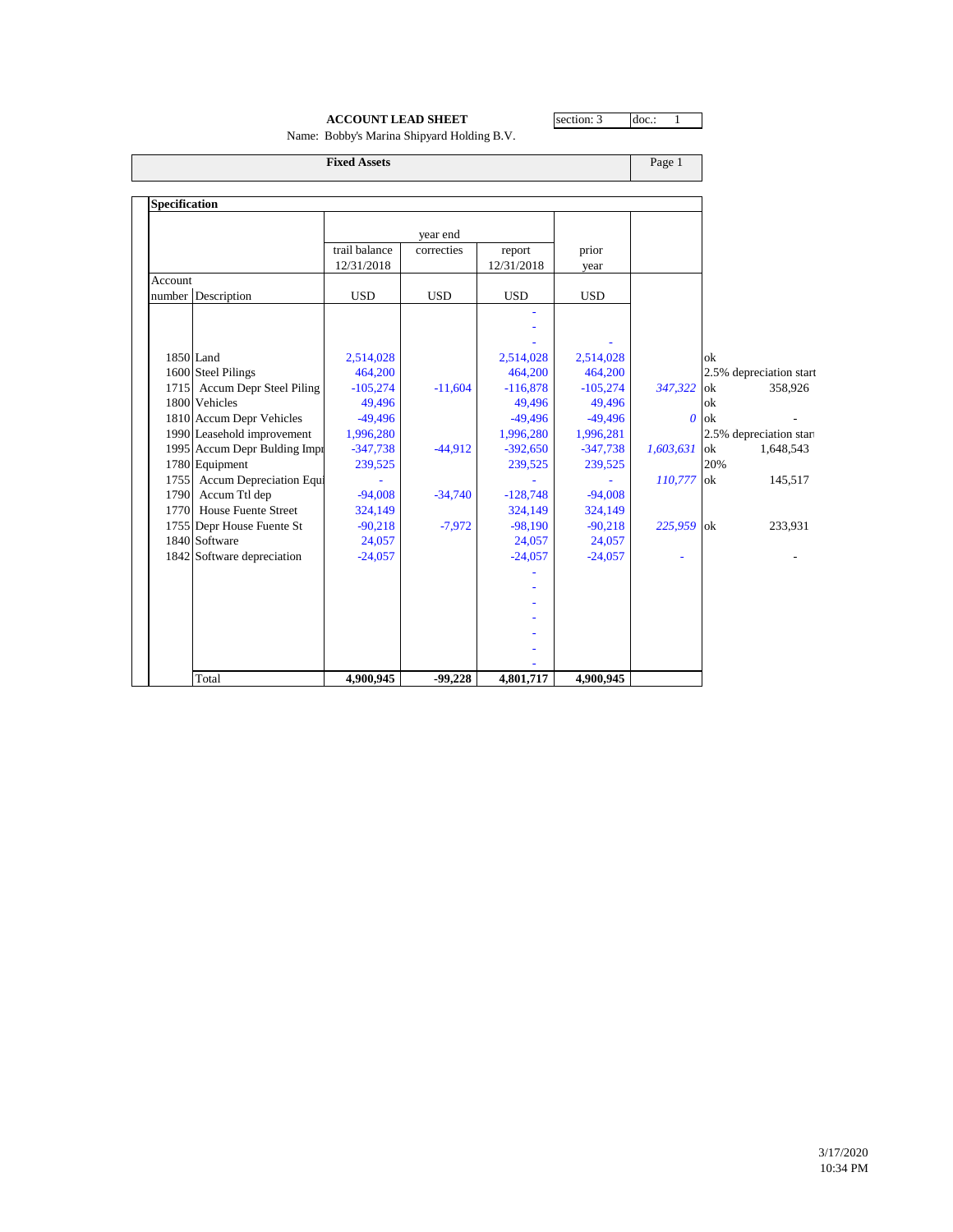#### **ACCOUNT LEAD SHEET** section: 3 doc.: 1

Name: Bobby's Marina Shipyard Holding B.V.

| <b>Fixed Assets</b> | Page |
|---------------------|------|

| Specification                                     |                      |            |                       |                      |                       |          |                         |
|---------------------------------------------------|----------------------|------------|-----------------------|----------------------|-----------------------|----------|-------------------------|
|                                                   |                      | year end   |                       |                      |                       |          |                         |
|                                                   | trail balance        | correcties | report                | prior                |                       |          |                         |
|                                                   | 12/31/2018           |            | 12/31/2018            | year                 |                       |          |                         |
| Account                                           |                      |            |                       |                      |                       |          |                         |
| number Description                                | <b>USD</b>           | <b>USD</b> | <b>USD</b>            | <b>USD</b>           |                       |          |                         |
|                                                   |                      |            |                       |                      |                       |          |                         |
|                                                   |                      |            |                       |                      |                       |          |                         |
|                                                   |                      |            |                       |                      |                       |          |                         |
| 1850 Land                                         | 2,514,028            |            | 2,514,028             | 2,514,028            |                       | ok       |                         |
| 1600 Steel Pilings                                | 464,200              |            | 464,200               | 464,200              |                       |          | 2.5% depreciation start |
| 1715<br>Accum Depr Steel Piling                   | $-105,274$           | $-11,604$  | $-116,878$            | $-105,274$           | 347,322               | ok       | 358,926                 |
| 1800 Vehicles                                     | 49.496               |            | 49.496                | 49.496               |                       | ok       |                         |
| 1810 Accum Depr Vehicles                          | $-49,496$            |            | $-49.496$             | $-49,496$            | $\boldsymbol{\theta}$ | $\alpha$ |                         |
| 1990 Leasehold improvement                        | 1,996,280            |            | 1,996,280             | 1,996,281            |                       |          | 2.5% depreciation start |
| 1995 Accum Depr Bulding Impr                      | $-347,738$           | $-44,912$  | $-392,650$            | $-347,738$           | 1,603,631             | ok       | 1,648,543               |
| 1780 Equipment                                    | 239,525              |            | 239,525               | 239,525              |                       | 20%      |                         |
| <b>Accum Depreciation Equi</b><br>1755            |                      |            |                       |                      | $110,777$ ok          |          | 145,517                 |
| Accum Ttl dep<br>1790<br>1770 House Fuente Street | $-94,008$<br>324,149 | $-34,740$  | $-128,748$<br>324,149 | $-94,008$            |                       |          |                         |
| 1755 Depr House Fuente St                         | $-90,218$            | $-7,972$   | $-98,190$             | 324,149<br>$-90,218$ | 225,959 ok            |          | 233,931                 |
| 1840 Software                                     | 24,057               |            | 24,057                | 24,057               |                       |          |                         |
| 1842 Software depreciation                        | $-24,057$            |            | $-24,057$             | $-24,057$            |                       |          |                         |
|                                                   |                      |            |                       |                      |                       |          |                         |
|                                                   |                      |            |                       |                      |                       |          |                         |
|                                                   |                      |            |                       |                      |                       |          |                         |
|                                                   |                      |            |                       |                      |                       |          |                         |
|                                                   |                      |            |                       |                      |                       |          |                         |
|                                                   |                      |            |                       |                      |                       |          |                         |
|                                                   |                      |            |                       |                      |                       |          |                         |
| Total                                             | 4,900,945            | $-99,228$  | 4,801,717             | 4,900,945            |                       |          |                         |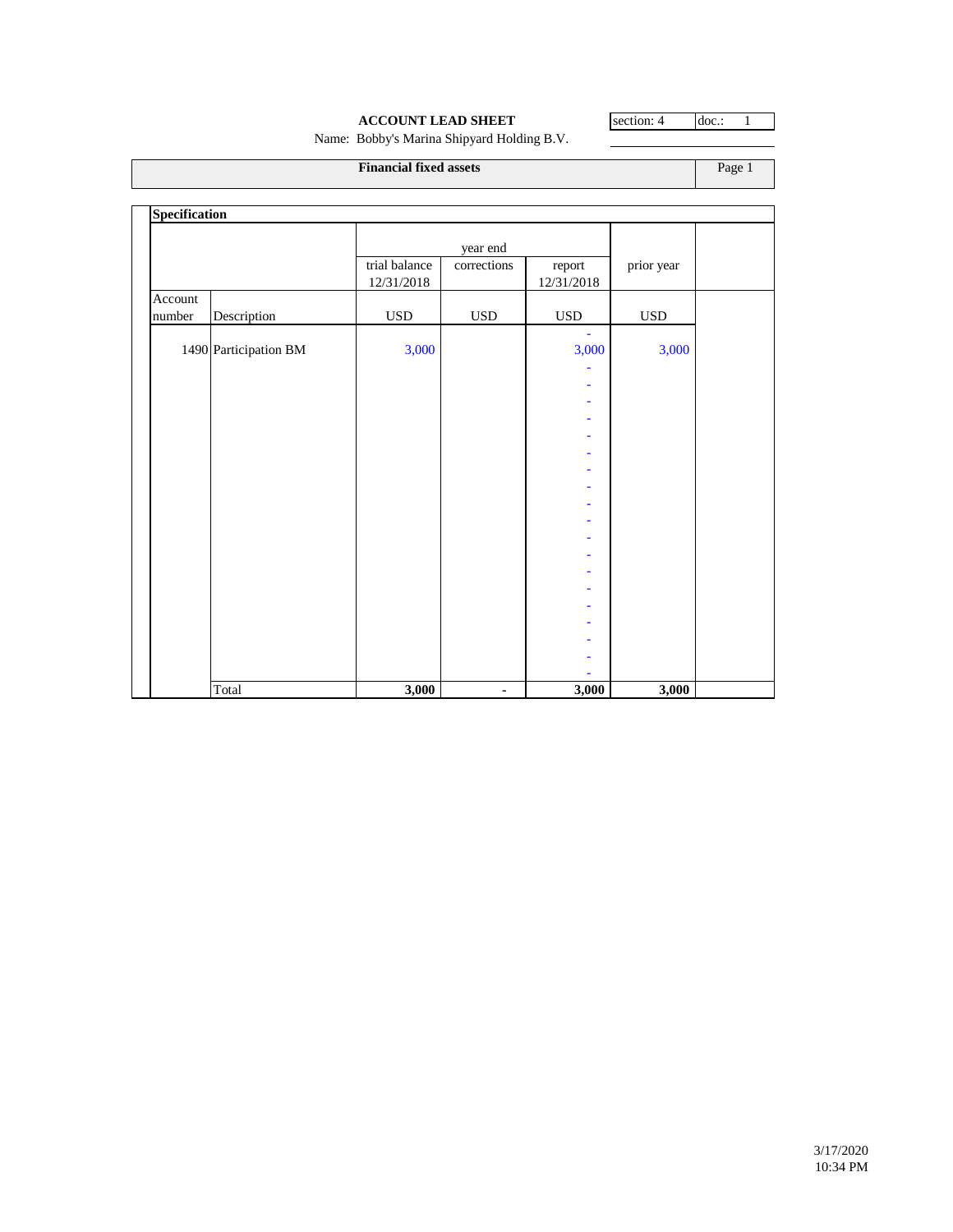#### **ACCOUNT LEAD SHEET** section: 4 doc.: 1

Name: Bobby's Marina Shipyard Holding B.V.

#### **Financial fixed assets** Page 1

|                   |                       |               |                         | Ξ<br>۳               |              |  |
|-------------------|-----------------------|---------------|-------------------------|----------------------|--------------|--|
|                   |                       |               |                         | ۳                    |              |  |
|                   | 1490 Participation BM | 3,000         |                         | 3,000                | 3,000        |  |
| Account<br>number | Description           | $_{\rm USD}$  | <b>USD</b>              | <b>USD</b><br>ä,     | $_{\rm USD}$ |  |
|                   |                       | 12/31/2018    |                         | report<br>12/31/2018 | prior year   |  |
|                   |                       | trial balance | year end<br>corrections |                      |              |  |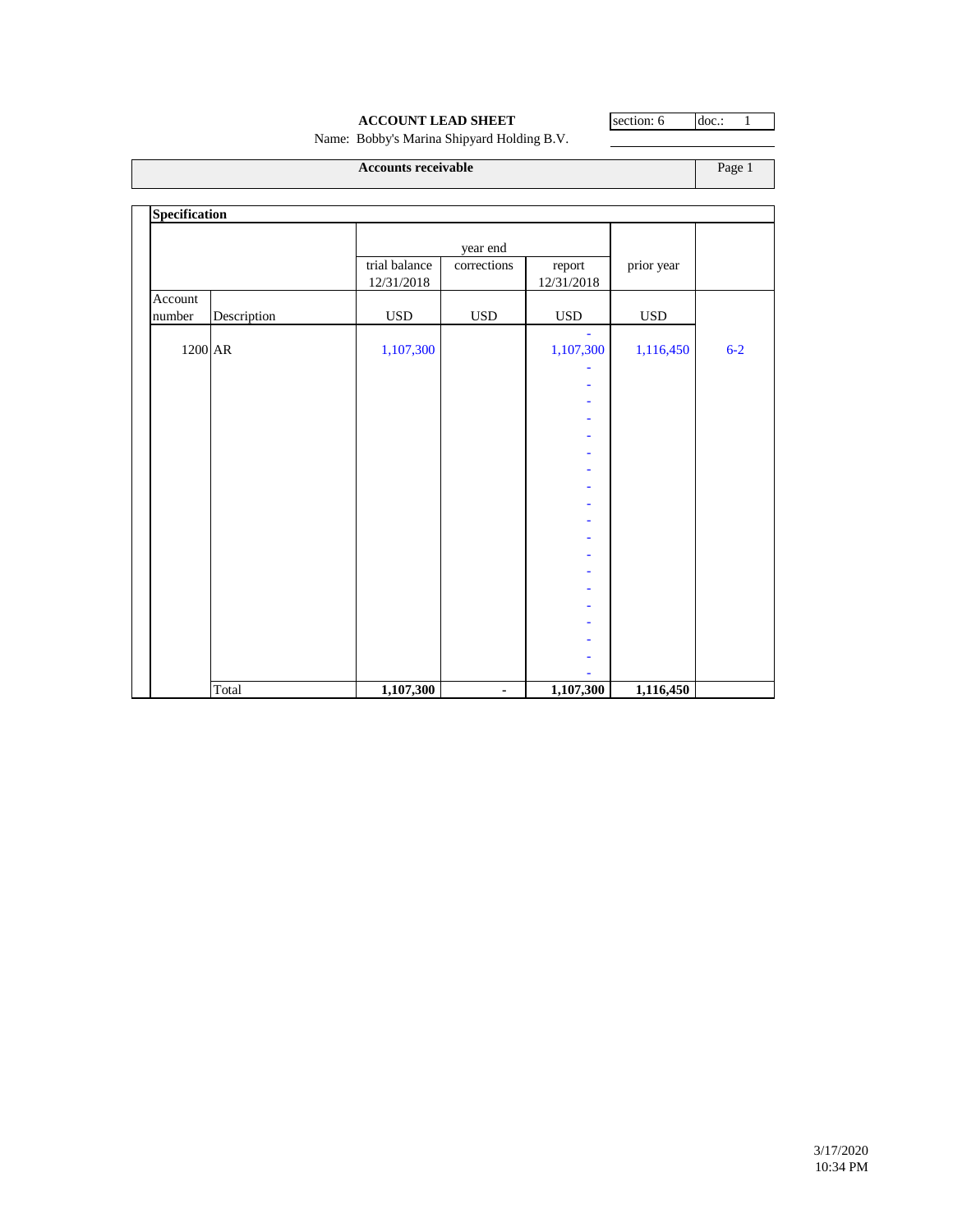#### **ACCOUNT LEAD SHEET** section: 6 doc.: 1

Name: Bobby's Marina Shipyard Holding B.V.

#### **Accounts receivable** Page 1

| <b>Specification</b> |             |                             |              |                      |              |         |
|----------------------|-------------|-----------------------------|--------------|----------------------|--------------|---------|
|                      |             |                             | year end     |                      |              |         |
|                      |             | trial balance<br>12/31/2018 | corrections  | report<br>12/31/2018 | prior year   |         |
| Account              |             |                             |              |                      |              |         |
| number               | Description | $_{\rm USD}$                | $_{\rm USD}$ | $_{\rm USD}$         | $_{\rm USD}$ |         |
| $1200\; \mathrm{AR}$ |             | 1,107,300                   |              | 1,107,300            | 1,116,450    | $6 - 2$ |
|                      |             |                             |              |                      |              |         |
|                      |             |                             |              | ٠                    |              |         |
|                      |             |                             |              | ۰                    |              |         |
|                      |             |                             |              | ۰                    |              |         |
|                      |             |                             |              |                      |              |         |
|                      |             |                             |              | ٠                    |              |         |
|                      |             |                             |              | ۰                    |              |         |
|                      |             |                             |              |                      |              |         |
|                      |             |                             |              |                      |              |         |
|                      |             |                             |              |                      |              |         |
|                      |             |                             |              |                      |              |         |
|                      |             |                             |              |                      |              |         |
|                      |             |                             |              |                      |              |         |
|                      |             |                             |              |                      |              |         |
|                      |             |                             |              |                      |              |         |
|                      |             |                             |              |                      |              |         |
|                      |             |                             |              | ۰                    |              |         |
|                      |             |                             |              |                      |              |         |
|                      |             |                             |              |                      |              |         |
|                      | Total       | 1,107,300                   | ٠            | 1,107,300            | 1,116,450    |         |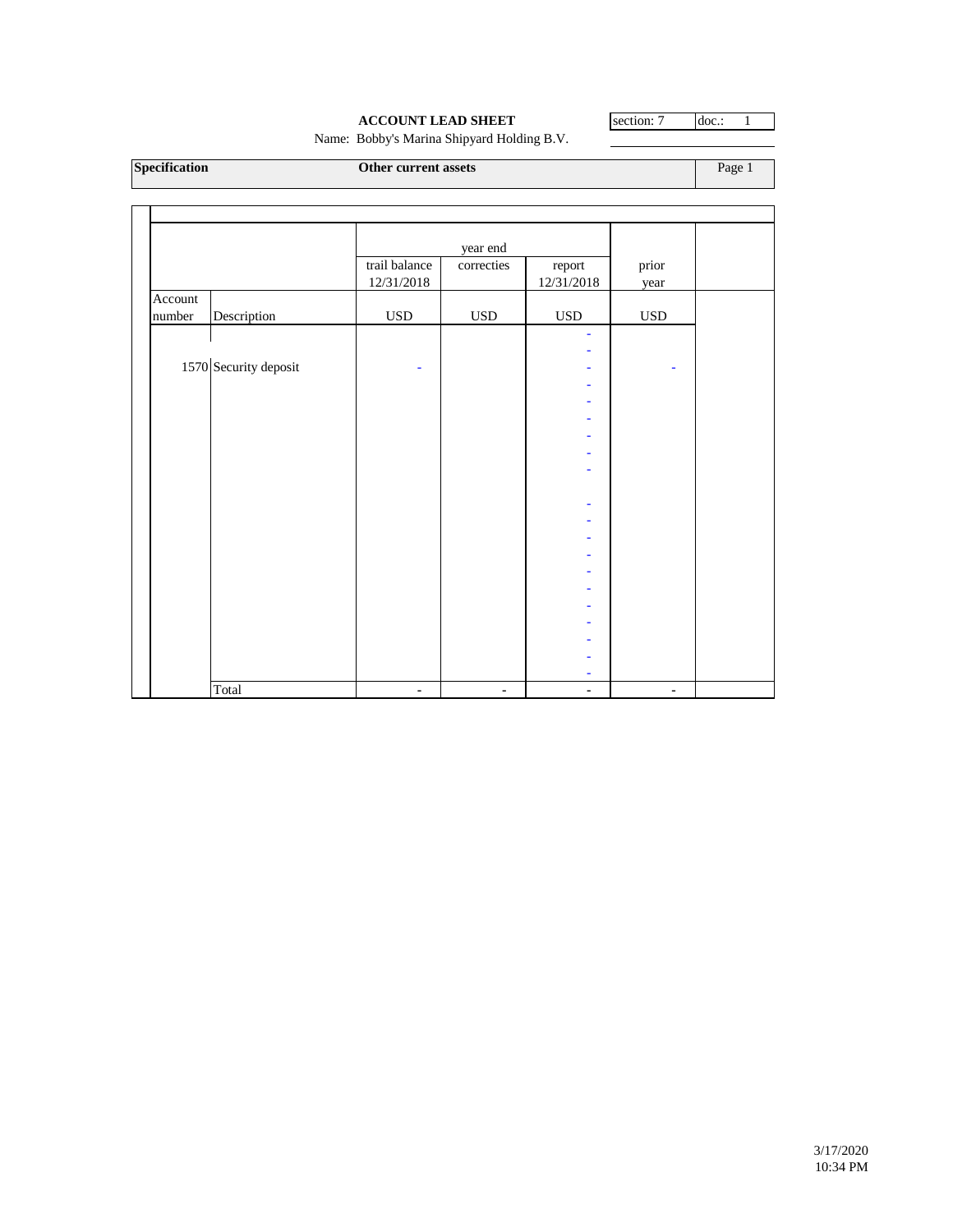#### **ACCOUNT LEAD SHEET** section: 7 doc.: 1

Name: Bobby's Marina Shipyard Holding B.V.

**Specification Other current assets Page 1** 

|         |                       |                | year end     |                |                              |
|---------|-----------------------|----------------|--------------|----------------|------------------------------|
|         |                       | trail balance  | correcties   | report         | prior                        |
|         |                       | 12/31/2018     |              | 12/31/2018     | year                         |
| Account |                       |                |              |                |                              |
| number  | Description           | $_{\rm USD}$   | $_{\rm USD}$ | $_{\rm USD}$   | <b>USD</b>                   |
|         |                       |                |              | ÷              |                              |
|         | 1570 Security deposit |                |              |                |                              |
|         |                       | ۰              |              |                |                              |
|         |                       |                |              |                |                              |
|         |                       |                |              |                |                              |
|         |                       |                |              |                |                              |
|         |                       |                |              |                |                              |
|         |                       |                |              |                |                              |
|         |                       |                |              |                |                              |
|         |                       |                |              |                |                              |
|         |                       |                |              |                |                              |
|         |                       |                |              |                |                              |
|         |                       |                |              |                |                              |
|         |                       |                |              |                |                              |
|         |                       |                |              |                |                              |
|         |                       |                |              |                |                              |
|         |                       |                |              |                |                              |
|         |                       |                |              |                |                              |
|         |                       |                |              |                |                              |
|         |                       |                |              | ٠              |                              |
|         | Total                 | $\blacksquare$ | ä,           | $\blacksquare$ | $\qquad \qquad \blacksquare$ |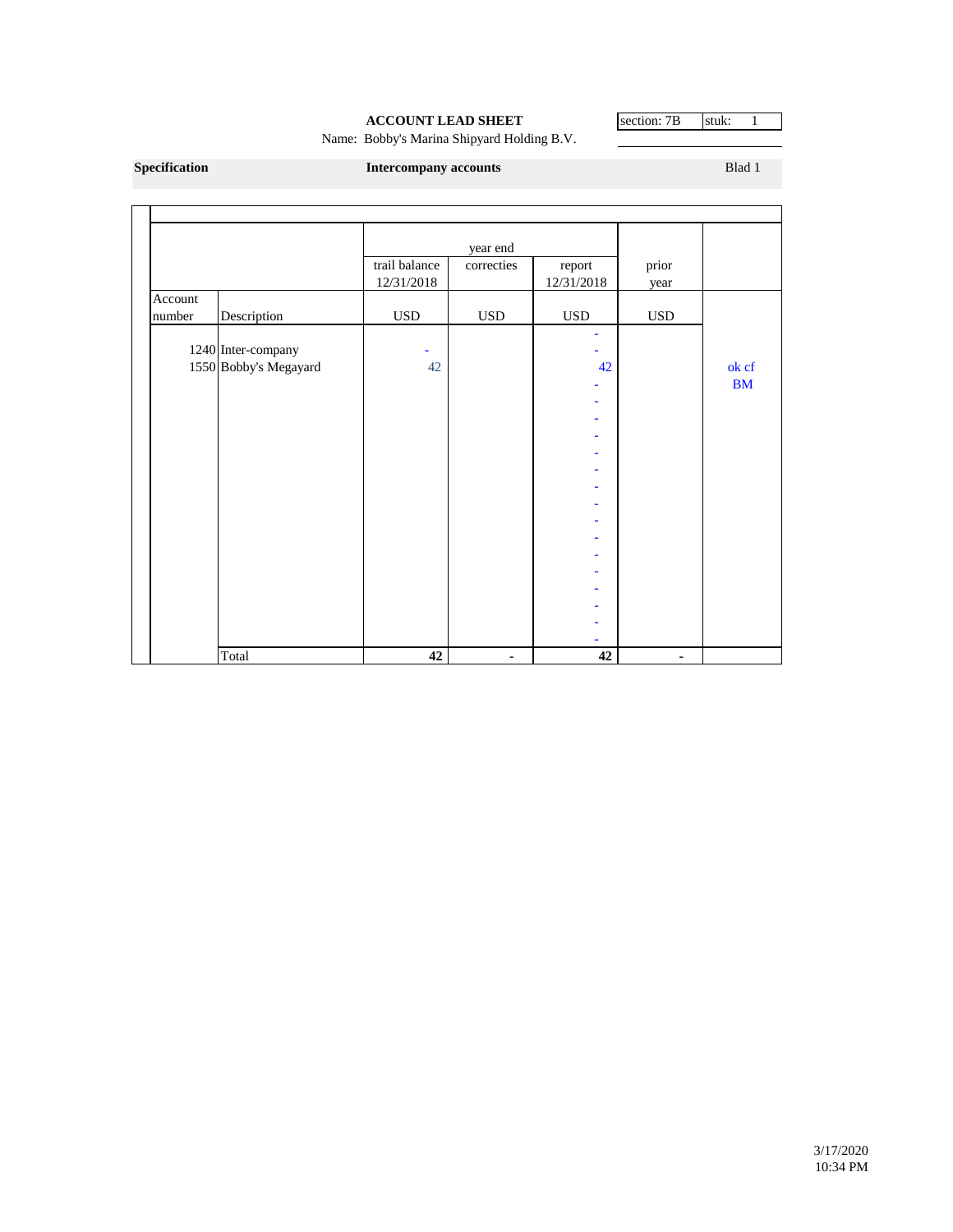#### **ACCOUNT LEAD SHEET** section: 7B stuk: 1

Name: Bobby's Marina Shipyard Holding B.V.

**Specification Intercompany accounts Intercompany accounts Blad 1** 

|                   |                                             |                             | year end       |                      |                |                    |
|-------------------|---------------------------------------------|-----------------------------|----------------|----------------------|----------------|--------------------|
|                   |                                             | trail balance<br>12/31/2018 | correcties     | report<br>12/31/2018 | prior<br>year  |                    |
| Account<br>number | Description                                 | $_{\rm USD}$                | $_{\rm USD}$   | <b>USD</b>           | $_{\rm USD}$   |                    |
|                   | 1240 Inter-company<br>1550 Bobby's Megayard | Ξ<br>42                     |                | ۰<br>42              |                | ok cf<br><b>BM</b> |
|                   |                                             |                             |                |                      |                |                    |
|                   |                                             |                             |                |                      |                |                    |
|                   |                                             |                             |                |                      |                |                    |
|                   |                                             |                             |                |                      |                |                    |
|                   |                                             |                             |                |                      |                |                    |
|                   | Total                                       | $\overline{42}$             | $\blacksquare$ | ٠<br>42              | $\blacksquare$ |                    |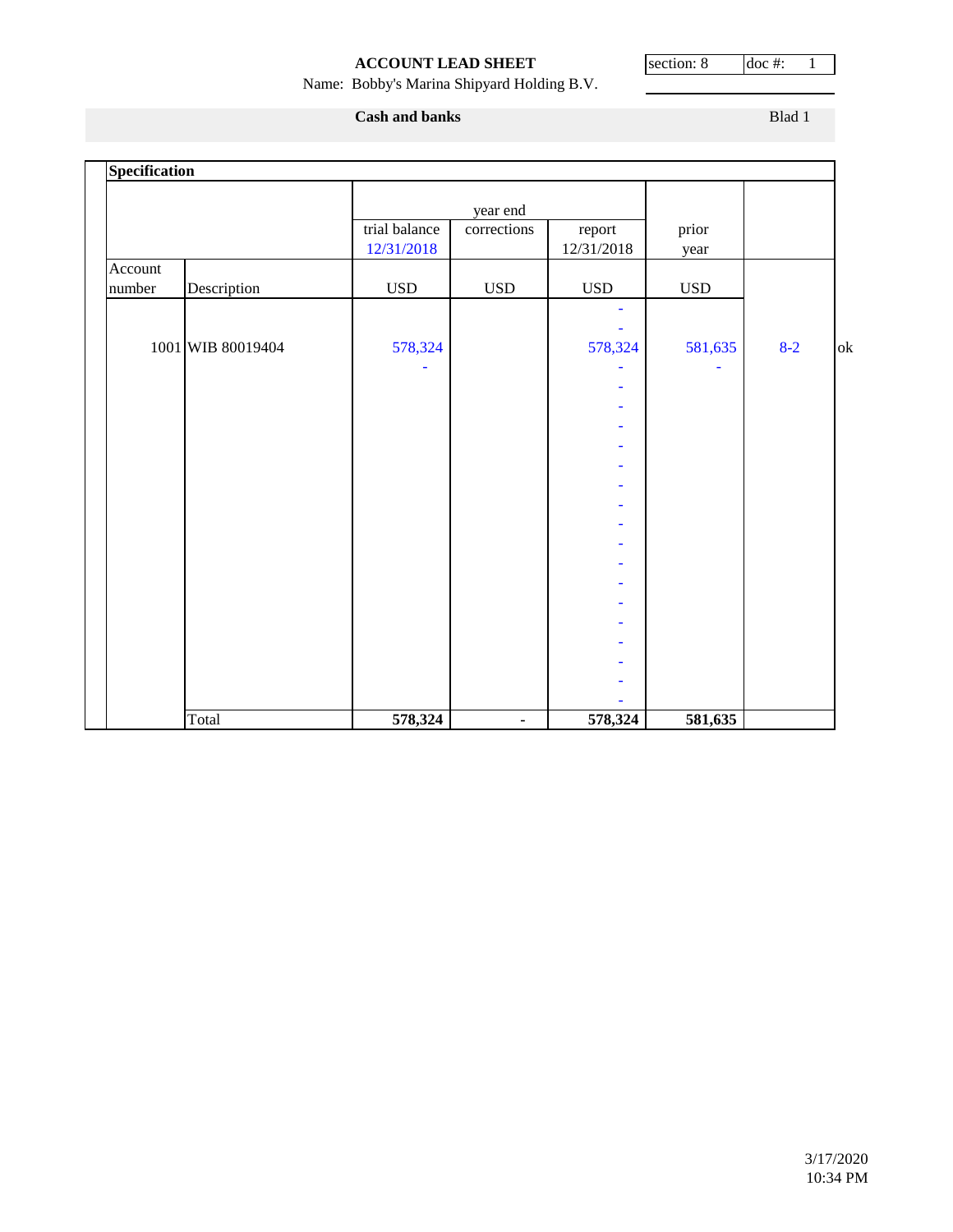#### **ACCOUNT LEAD SHEET** section: 8 doc #: 1

Name: Bobby's Marina Shipyard Holding B.V.

#### **Cash and banks** Blad 1

| <b>Specification</b> |                   |                             |                              |                      |                                    |       |    |
|----------------------|-------------------|-----------------------------|------------------------------|----------------------|------------------------------------|-------|----|
|                      |                   |                             | year end                     |                      |                                    |       |    |
|                      |                   | trial balance<br>12/31/2018 | corrections                  | report<br>12/31/2018 | prior<br>year                      |       |    |
| Account<br>number    |                   | $_{\rm USD}$                | $_{\rm USD}$                 | $_{\rm USD}$         | $\ensuremath{\mathsf{USD}}\xspace$ |       |    |
|                      | Description       |                             |                              |                      |                                    |       |    |
|                      |                   |                             |                              |                      |                                    |       |    |
|                      | 1001 WIB 80019404 | 578,324                     |                              | 578,324              | 581,635                            | $8-2$ | ok |
|                      |                   |                             |                              |                      |                                    |       |    |
|                      |                   |                             |                              | ۳<br>-               |                                    |       |    |
|                      |                   |                             |                              |                      |                                    |       |    |
|                      |                   |                             |                              |                      |                                    |       |    |
|                      |                   |                             |                              |                      |                                    |       |    |
|                      |                   |                             |                              |                      |                                    |       |    |
|                      |                   |                             |                              |                      |                                    |       |    |
|                      |                   |                             |                              |                      |                                    |       |    |
|                      |                   |                             |                              |                      |                                    |       |    |
|                      |                   |                             |                              |                      |                                    |       |    |
|                      |                   |                             |                              |                      |                                    |       |    |
|                      |                   |                             |                              |                      |                                    |       |    |
|                      |                   |                             |                              |                      |                                    |       |    |
|                      |                   |                             |                              |                      |                                    |       |    |
|                      |                   |                             |                              |                      |                                    |       |    |
|                      | Total             | 578,324                     | $\qquad \qquad \blacksquare$ | 578,324              | 581,635                            |       |    |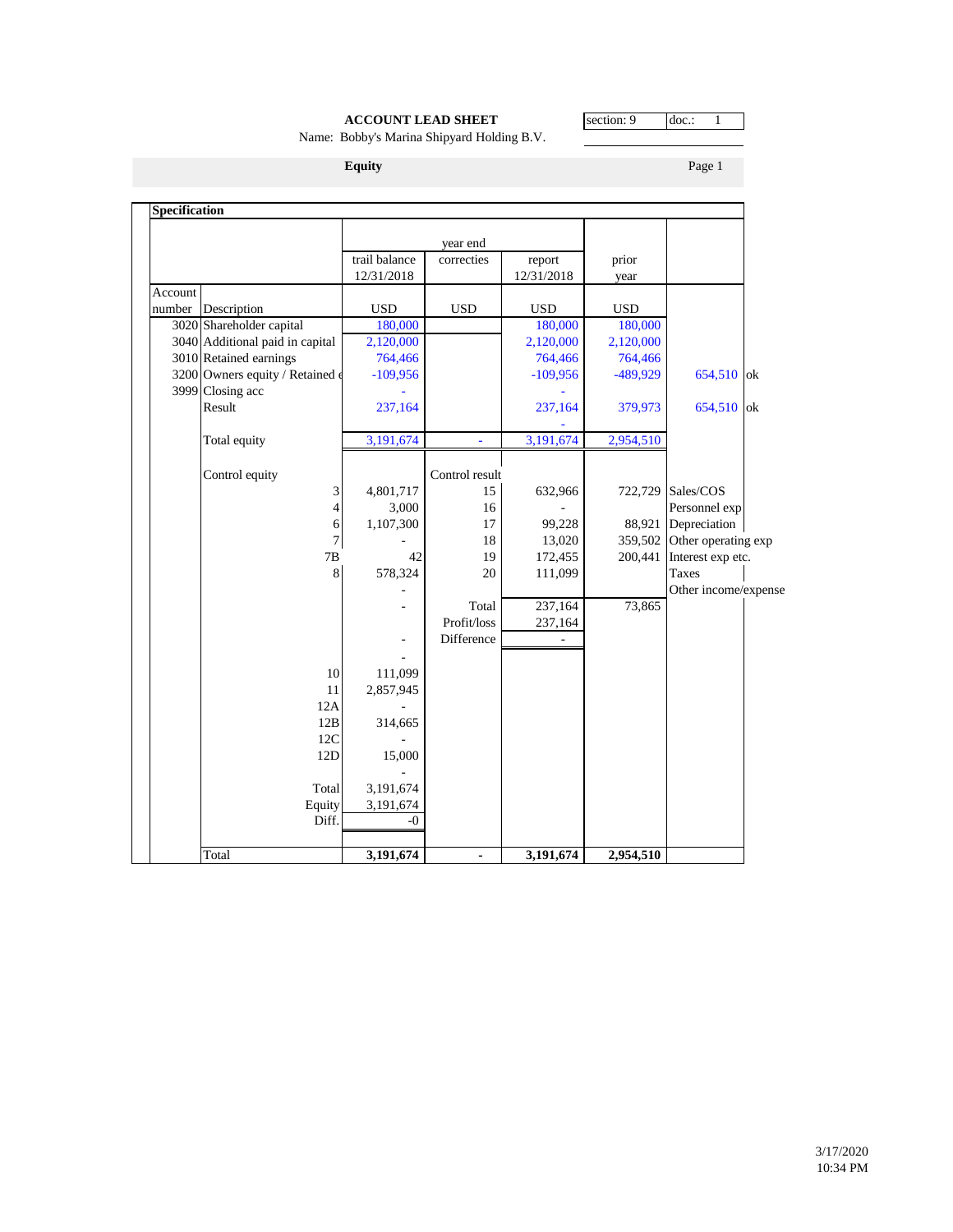#### **ACCOUNT LEAD SHEET** section: 9 doc.: 1

Name: Bobby's Marina Shipyard Holding B.V.

**Equity** Page 1

|         |                                 |               | year end       |            |            |                      |    |
|---------|---------------------------------|---------------|----------------|------------|------------|----------------------|----|
|         |                                 | trail balance | correcties     | report     | prior      |                      |    |
|         |                                 | 12/31/2018    |                | 12/31/2018 | year       |                      |    |
| Account |                                 |               |                |            |            |                      |    |
| number  | Description                     | <b>USD</b>    | <b>USD</b>     | <b>USD</b> | <b>USD</b> |                      |    |
|         | 3020 Shareholder capital        | 180,000       |                | 180,000    | 180,000    |                      |    |
|         | 3040 Additional paid in capital | 2,120,000     |                | 2,120,000  | 2,120,000  |                      |    |
|         | 3010 Retained earnings          | 764,466       |                | 764,466    | 764,466    |                      |    |
|         | 3200 Owners equity / Retained o | $-109,956$    |                | $-109,956$ | -489,929   | 654,510              | ok |
|         | 3999 Closing acc                |               |                |            |            |                      |    |
|         | Result                          | 237,164       |                | 237,164    | 379,973    | 654,510              | ok |
|         |                                 |               |                |            |            |                      |    |
|         | Total equity                    | 3,191,674     | ä,             | 3,191,674  | 2,954,510  |                      |    |
|         |                                 |               |                |            |            |                      |    |
|         | Control equity                  |               | Control result |            |            |                      |    |
|         | 3                               | 4,801,717     | 15             | 632,966    |            | 722,729 Sales/COS    |    |
|         | 4                               | 3,000         | 16             |            |            | Personnel exp        |    |
|         | 6                               | 1,107,300     | 17             | 99,228     |            | 88,921 Depreciation  |    |
|         | $\sqrt{ }$                      |               | 18             | 13,020     | 359,502    | Other operating exp  |    |
|         | 7B                              | 42            | 19             | 172,455    | 200,441    | Interest exp etc.    |    |
|         | 8                               | 578,324       | 20             | 111,099    |            | <b>Taxes</b>         |    |
|         |                                 |               |                |            |            | Other income/expense |    |
|         |                                 |               | Total          | 237,164    | 73,865     |                      |    |
|         |                                 |               | Profit/loss    | 237,164    |            |                      |    |
|         |                                 |               | Difference     | ÷.         |            |                      |    |
|         |                                 |               |                |            |            |                      |    |
|         | 10                              | 111,099       |                |            |            |                      |    |
|         | 11                              | 2,857,945     |                |            |            |                      |    |
|         | 12A                             |               |                |            |            |                      |    |
|         | 12B                             | 314,665       |                |            |            |                      |    |
|         | 12C                             |               |                |            |            |                      |    |
|         |                                 |               |                |            |            |                      |    |
|         | 12D                             | 15,000        |                |            |            |                      |    |
|         |                                 |               |                |            |            |                      |    |
|         | Total                           | 3,191,674     |                |            |            |                      |    |
|         | Equity                          | 3,191,674     |                |            |            |                      |    |
|         | Diff.                           | $-0$          |                |            |            |                      |    |
|         |                                 |               |                |            |            |                      |    |
|         | Total                           | 3,191,674     | ٠              | 3,191,674  | 2,954,510  |                      |    |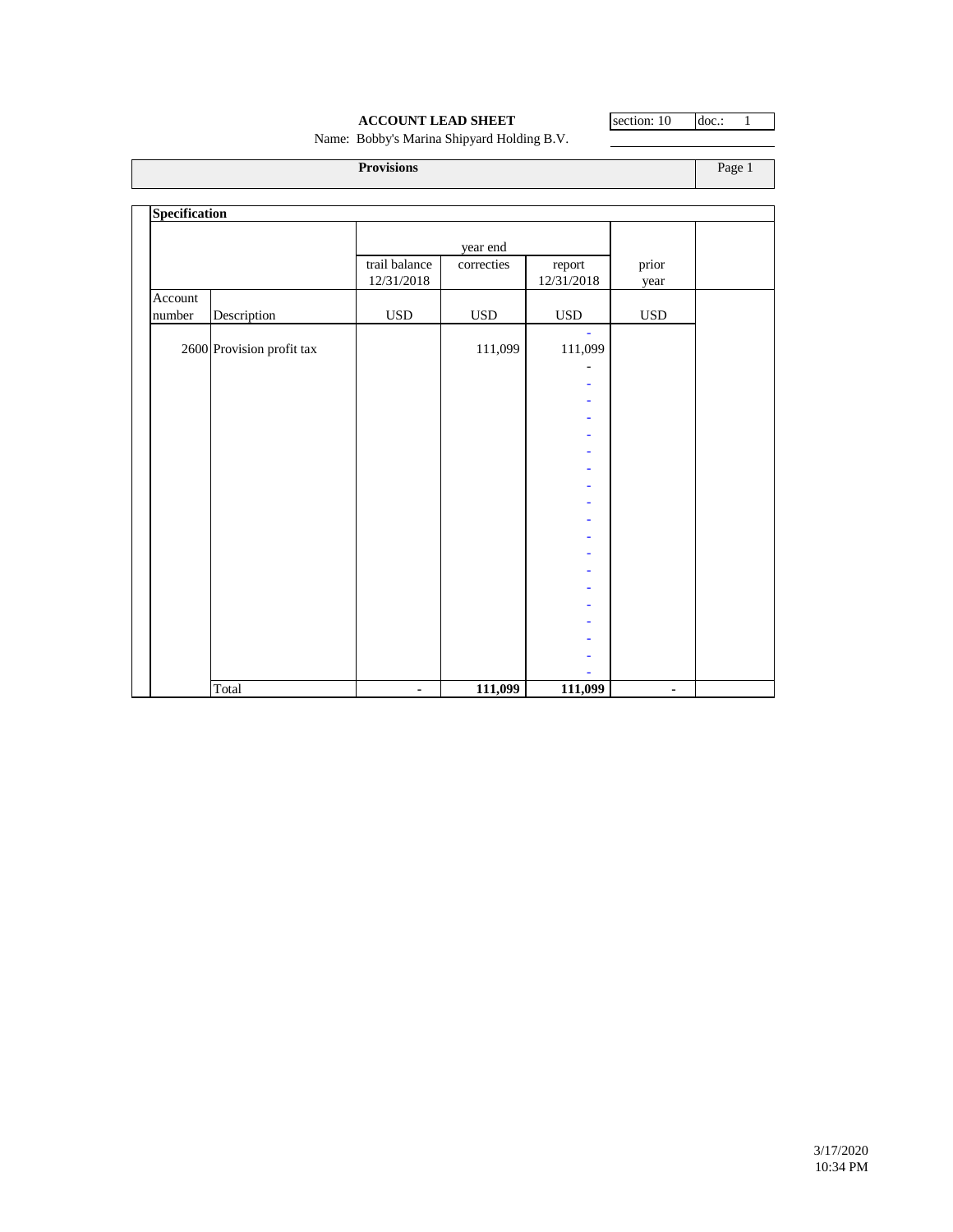#### **ACCOUNT LEAD SHEET** section: 10 doc.: 1

Name: Bobby's Marina Shipyard Holding B.V.

**Provisions** Page 1

| Specification |                           |                             |              |                      |               |  |
|---------------|---------------------------|-----------------------------|--------------|----------------------|---------------|--|
|               |                           |                             | year end     |                      |               |  |
|               |                           | trail balance<br>12/31/2018 | correcties   | report<br>12/31/2018 | prior<br>year |  |
| Account       |                           |                             |              |                      |               |  |
| number        | Description               | <b>USD</b>                  | $_{\rm USD}$ | <b>USD</b>           | <b>USD</b>    |  |
|               | 2600 Provision profit tax |                             | 111,099      | 111,099              |               |  |
|               |                           |                             |              |                      |               |  |
|               |                           |                             |              | ۰                    |               |  |
|               |                           |                             |              | ۳                    |               |  |
|               |                           |                             |              | Ξ                    |               |  |
|               |                           |                             |              |                      |               |  |
|               |                           |                             |              |                      |               |  |
|               |                           |                             |              | ۰                    |               |  |
|               |                           |                             |              |                      |               |  |
|               |                           |                             |              |                      |               |  |
|               |                           |                             |              |                      |               |  |
|               |                           |                             |              | ۰                    |               |  |
|               |                           |                             |              |                      |               |  |
|               |                           |                             |              |                      |               |  |
|               |                           |                             |              |                      |               |  |
|               |                           |                             |              |                      |               |  |
|               |                           |                             |              |                      |               |  |
|               |                           |                             |              |                      |               |  |
|               |                           |                             |              |                      |               |  |
|               | Total                     | ٠                           | 111,099      | 111,099              | ۰             |  |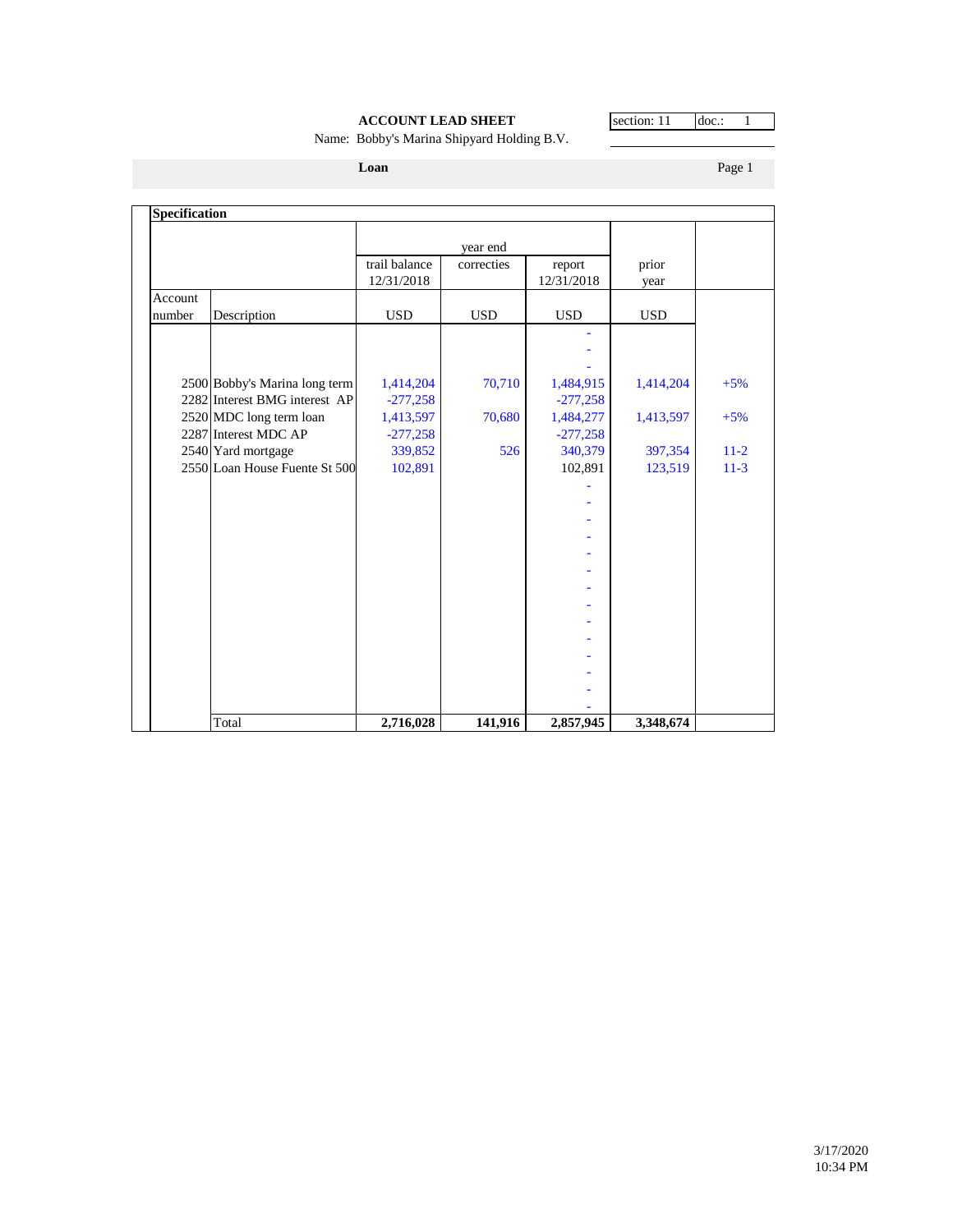#### **ACCOUNT LEAD SHEET** section: 11 doc.: 1

Name: Bobby's Marina Shipyard Holding B.V.

**Loan** Page 1

| Account<br>number<br>2540 Yard mortgage |                               |                             |            |                      |            |          |
|-----------------------------------------|-------------------------------|-----------------------------|------------|----------------------|------------|----------|
|                                         |                               |                             | year end   |                      |            |          |
|                                         |                               | trail balance<br>12/31/2018 | correcties | report<br>12/31/2018 | prior      |          |
|                                         |                               |                             |            |                      | year       |          |
|                                         | Description                   | <b>USD</b>                  | <b>USD</b> | <b>USD</b>           | <b>USD</b> |          |
|                                         |                               |                             |            |                      |            |          |
|                                         |                               |                             |            |                      |            |          |
|                                         |                               |                             |            |                      |            |          |
|                                         | 2500 Bobby's Marina long term | 1,414,204                   | 70,710     | 1,484,915            | 1,414,204  | $+5%$    |
|                                         | 2282 Interest BMG interest AP | $-277,258$                  |            | $-277,258$           |            |          |
|                                         | 2520 MDC long term loan       | 1,413,597                   | 70,680     | 1,484,277            | 1,413,597  | $+5%$    |
|                                         | 2287 Interest MDC AP          | $-277,258$                  |            | $-277,258$           |            |          |
|                                         |                               | 339,852                     | 526        | 340,379              | 397,354    | $11 - 2$ |
|                                         | 2550 Loan House Fuente St 500 | 102,891                     |            | 102,891              | 123,519    | $11-3$   |
|                                         |                               |                             |            |                      |            |          |
|                                         |                               |                             |            |                      |            |          |
|                                         |                               |                             |            |                      |            |          |
|                                         |                               |                             |            |                      |            |          |
|                                         |                               |                             |            |                      |            |          |
|                                         |                               |                             |            |                      |            |          |
|                                         |                               |                             |            |                      |            |          |
|                                         |                               |                             |            |                      |            |          |
|                                         |                               |                             |            |                      |            |          |
|                                         |                               |                             |            |                      |            |          |
|                                         |                               |                             |            |                      |            |          |
|                                         |                               |                             |            |                      |            |          |
|                                         |                               |                             |            |                      |            |          |
| Total                                   |                               | 2,716,028                   | 141,916    | 2,857,945            | 3,348,674  |          |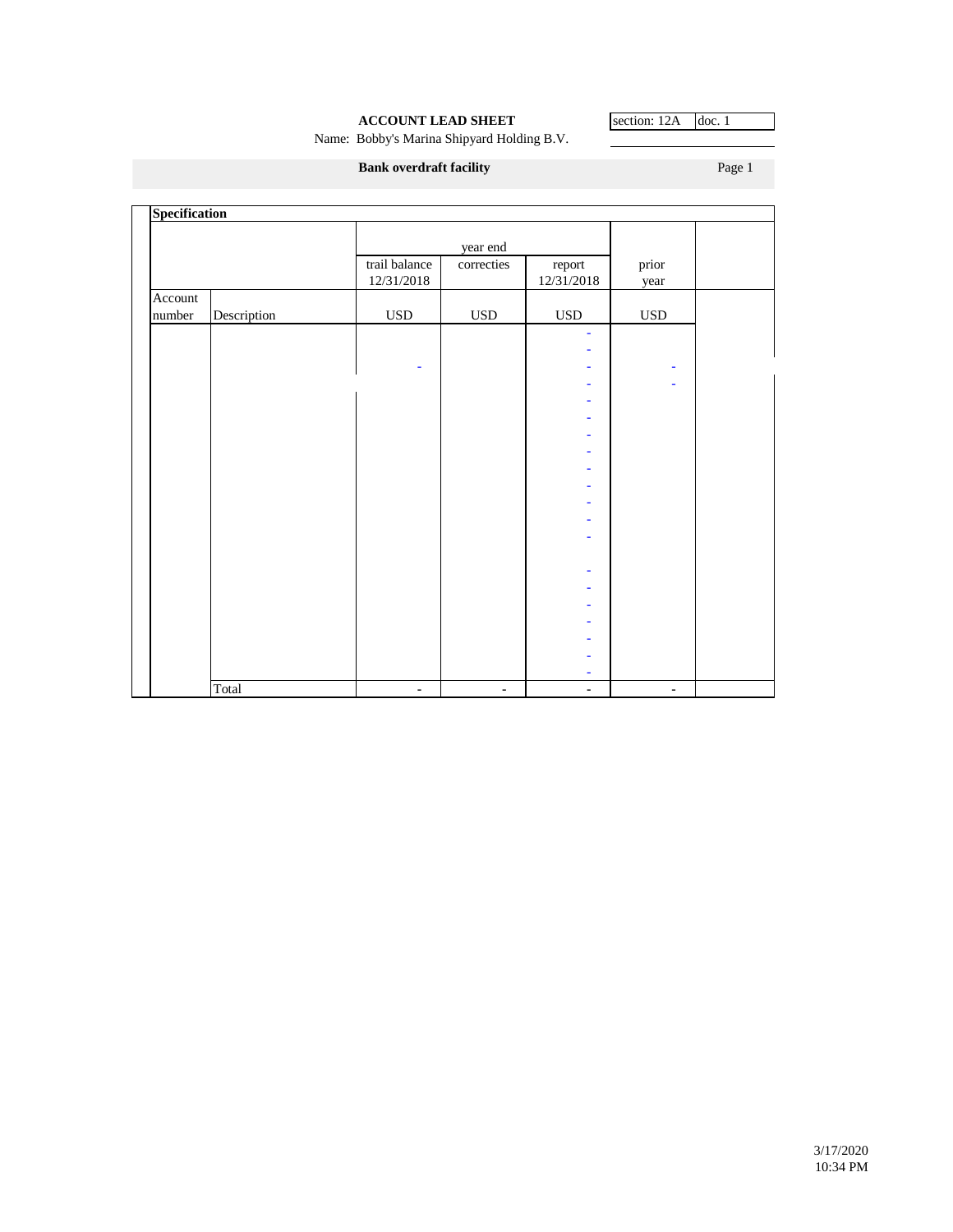#### **ACCOUNT LEAD SHEET** section: 12A doc. 1

Name: Bobby's Marina Shipyard Holding B.V.

## **Bank overdraft facility** Page 1

| Specification |             |                             |                |                     |                      |                              |  |
|---------------|-------------|-----------------------------|----------------|---------------------|----------------------|------------------------------|--|
|               |             |                             |                | year end            |                      |                              |  |
|               |             | trail balance<br>12/31/2018 |                | $\mbox{correcties}$ | report<br>12/31/2018 | prior<br>year                |  |
| Account       |             |                             |                |                     |                      |                              |  |
| number        | Description | $_{\rm USD}$                |                | $_{\rm USD}$        | $_{\rm USD}$         | $_{\rm USD}$                 |  |
|               |             |                             |                |                     | ٠                    |                              |  |
|               |             |                             |                |                     |                      |                              |  |
|               |             |                             | ۰              |                     | ۰                    | ۰                            |  |
|               |             |                             |                |                     |                      |                              |  |
|               |             |                             |                |                     |                      |                              |  |
|               |             |                             |                |                     |                      |                              |  |
|               |             |                             |                |                     |                      |                              |  |
|               |             |                             |                |                     |                      |                              |  |
|               |             |                             |                |                     |                      |                              |  |
|               |             |                             |                |                     |                      |                              |  |
|               |             |                             |                |                     |                      |                              |  |
|               |             |                             |                |                     | ۰                    |                              |  |
|               |             |                             |                |                     | ۰                    |                              |  |
|               |             |                             |                |                     |                      |                              |  |
|               |             |                             |                |                     |                      |                              |  |
|               |             |                             |                |                     |                      |                              |  |
|               |             |                             |                |                     |                      |                              |  |
|               |             |                             |                |                     |                      |                              |  |
|               |             |                             |                |                     |                      |                              |  |
|               |             |                             |                |                     |                      |                              |  |
|               |             |                             |                |                     | ٠                    |                              |  |
|               | Total       |                             | $\blacksquare$ | $\blacksquare$      | $\blacksquare$       | $\qquad \qquad \blacksquare$ |  |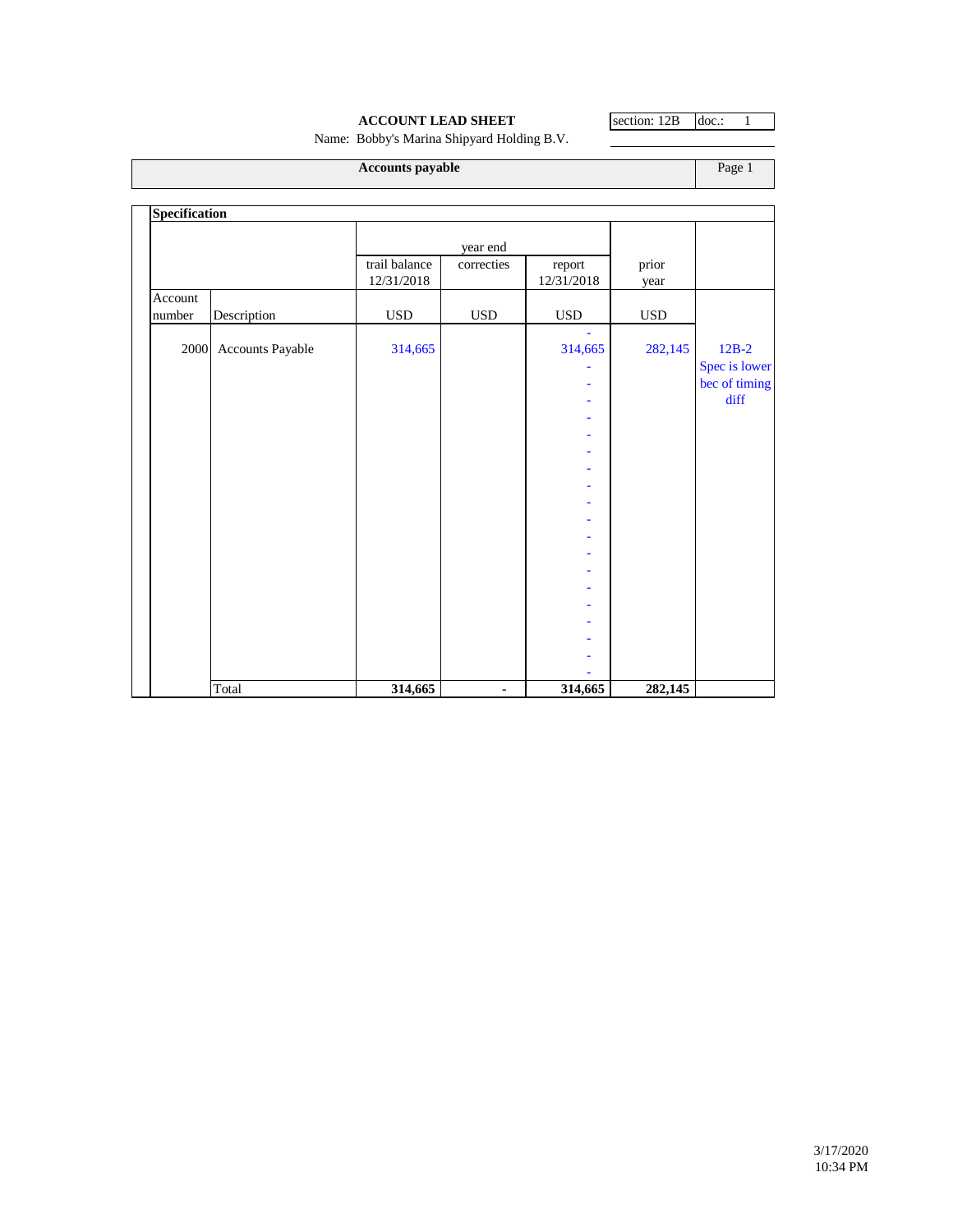#### **ACCOUNT LEAD SHEET** section: 12B doc.: 1

Name: Bobby's Marina Shipyard Holding B.V.

## **Accounts payable** Page 1

| Total       | 314,665                                       |                                        | 314,665                | 282,145                                   |                          |
|-------------|-----------------------------------------------|----------------------------------------|------------------------|-------------------------------------------|--------------------------|
|             |                                               |                                        |                        |                                           |                          |
|             |                                               |                                        |                        |                                           |                          |
|             |                                               |                                        |                        |                                           |                          |
|             |                                               |                                        |                        |                                           |                          |
|             |                                               |                                        |                        |                                           |                          |
|             |                                               |                                        |                        |                                           |                          |
|             |                                               |                                        |                        |                                           |                          |
|             |                                               |                                        |                        |                                           |                          |
|             |                                               |                                        |                        |                                           |                          |
|             |                                               |                                        |                        |                                           |                          |
|             |                                               |                                        |                        |                                           |                          |
|             |                                               |                                        |                        |                                           |                          |
|             |                                               |                                        |                        |                                           |                          |
|             |                                               |                                        |                        |                                           |                          |
|             |                                               |                                        | ٠                      |                                           |                          |
|             |                                               |                                        | ٠                      |                                           | diff                     |
|             |                                               |                                        | ٠                      |                                           | bec of timing            |
|             |                                               |                                        |                        |                                           | Spec is lower            |
|             |                                               |                                        |                        |                                           | $12B-2$                  |
|             |                                               |                                        |                        |                                           |                          |
| Description | $_{\rm USD}$                                  | $_{\rm USD}$                           | $_{\rm USD}$           | $_{\rm USD}$                              |                          |
|             |                                               |                                        |                        |                                           |                          |
|             |                                               |                                        |                        |                                           |                          |
|             |                                               |                                        |                        |                                           |                          |
|             |                                               |                                        |                        |                                           |                          |
|             | <b>Specification</b><br>2000 Accounts Payable | trail balance<br>12/31/2018<br>314,665 | year end<br>correcties | report<br>12/31/2018<br>314,665<br>۰<br>۰ | prior<br>year<br>282,145 |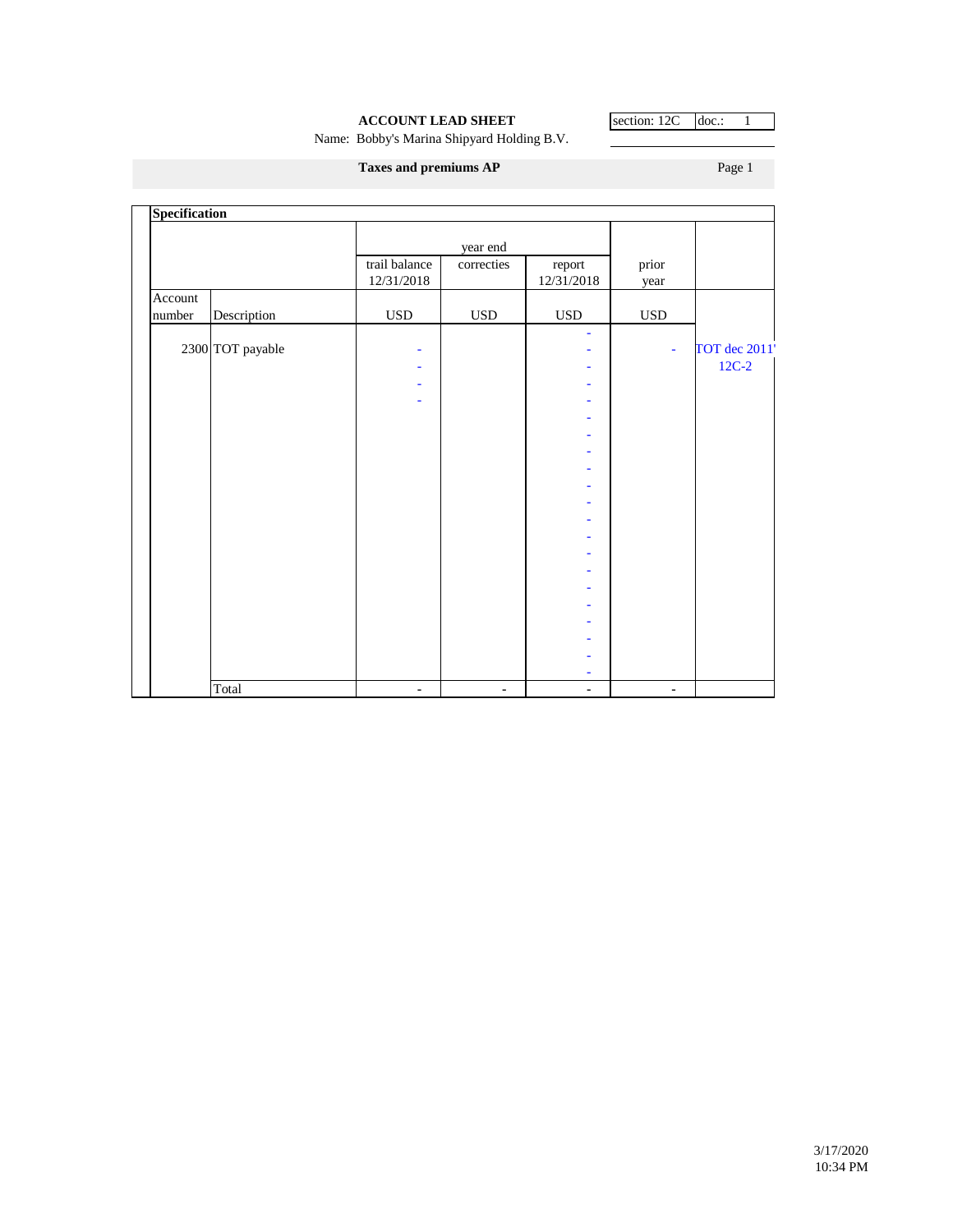#### **ACCOUNT LEAD SHEET** section: 12C doc.: 1

Name: Bobby's Marina Shipyard Holding B.V.

#### **Taxes and premiums AP** Page 1

| Specification |                  |                             |              |                      |               |               |
|---------------|------------------|-----------------------------|--------------|----------------------|---------------|---------------|
|               |                  |                             | year end     |                      |               |               |
|               |                  | trail balance<br>12/31/2018 | correcties   | report<br>12/31/2018 | prior<br>year |               |
| Account       |                  |                             |              |                      |               |               |
| number        | Description      | $_{\rm USD}$                | $_{\rm USD}$ | $_{\rm USD}$         | $_{\rm USD}$  |               |
|               |                  |                             |              |                      |               |               |
|               | 2300 TOT payable |                             |              |                      |               | TOT dec 2011' |
|               |                  | ٠                           |              |                      |               | $12C-2$       |
|               |                  |                             |              |                      |               |               |
|               |                  |                             |              |                      |               |               |
|               |                  |                             |              |                      |               |               |
|               |                  |                             |              |                      |               |               |
|               |                  |                             |              |                      |               |               |
|               |                  |                             |              |                      |               |               |
|               |                  |                             |              |                      |               |               |
|               |                  |                             |              |                      |               |               |
|               |                  |                             |              |                      |               |               |
|               |                  |                             |              |                      |               |               |
|               |                  |                             |              |                      |               |               |
|               |                  |                             |              |                      |               |               |
|               |                  |                             |              |                      |               |               |
|               |                  |                             |              |                      |               |               |
|               |                  |                             |              |                      |               |               |
|               |                  |                             |              |                      |               |               |
|               |                  |                             |              |                      |               |               |
|               |                  |                             |              | ۰                    |               |               |
|               | Total            | $\blacksquare$              | ٠            | ٠                    | ۰             |               |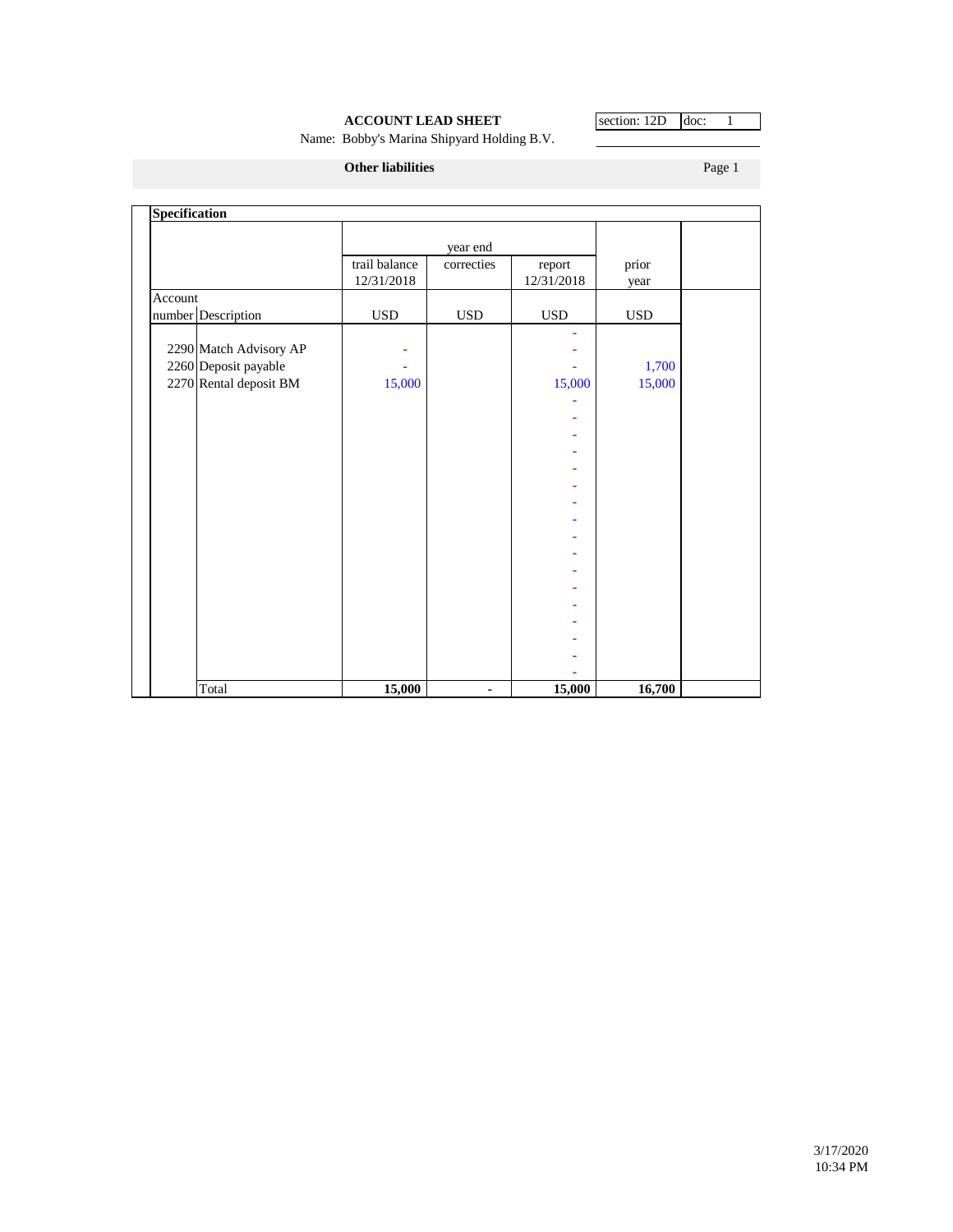#### **ACCOUNT LEAD SHEET** section: 12D doc: 1

Name: Bobby's Marina Shipyard Holding B.V.

**Other liabilities** Page 1

| Specification |                        |                             |            |                      |               |  |
|---------------|------------------------|-----------------------------|------------|----------------------|---------------|--|
|               |                        |                             | year end   |                      |               |  |
|               |                        | trail balance<br>12/31/2018 | correcties | report<br>12/31/2018 | prior<br>year |  |
| Account       |                        |                             |            |                      |               |  |
|               | number Description     | $_{\rm USD}$                | <b>USD</b> | $_{\rm USD}$         | $_{\rm USD}$  |  |
|               | 2290 Match Advisory AP |                             |            |                      |               |  |
|               | 2260 Deposit payable   |                             |            |                      | 1,700         |  |
|               | 2270 Rental deposit BM | 15,000                      |            | 15,000               | 15,000        |  |
|               |                        |                             |            |                      |               |  |
|               |                        |                             |            |                      |               |  |
|               |                        |                             |            |                      |               |  |
|               |                        |                             |            |                      |               |  |
|               |                        |                             |            |                      |               |  |
|               |                        |                             |            |                      |               |  |
|               |                        |                             |            |                      |               |  |
|               |                        |                             |            |                      |               |  |
|               |                        |                             |            |                      |               |  |
|               |                        |                             |            |                      |               |  |
|               |                        |                             |            |                      |               |  |
|               |                        |                             |            |                      |               |  |
|               |                        |                             |            |                      |               |  |
|               |                        |                             |            |                      |               |  |
|               |                        |                             |            |                      |               |  |
|               |                        |                             |            |                      |               |  |
|               | Total                  | 15,000                      | ٠          | 15,000               | 16,700        |  |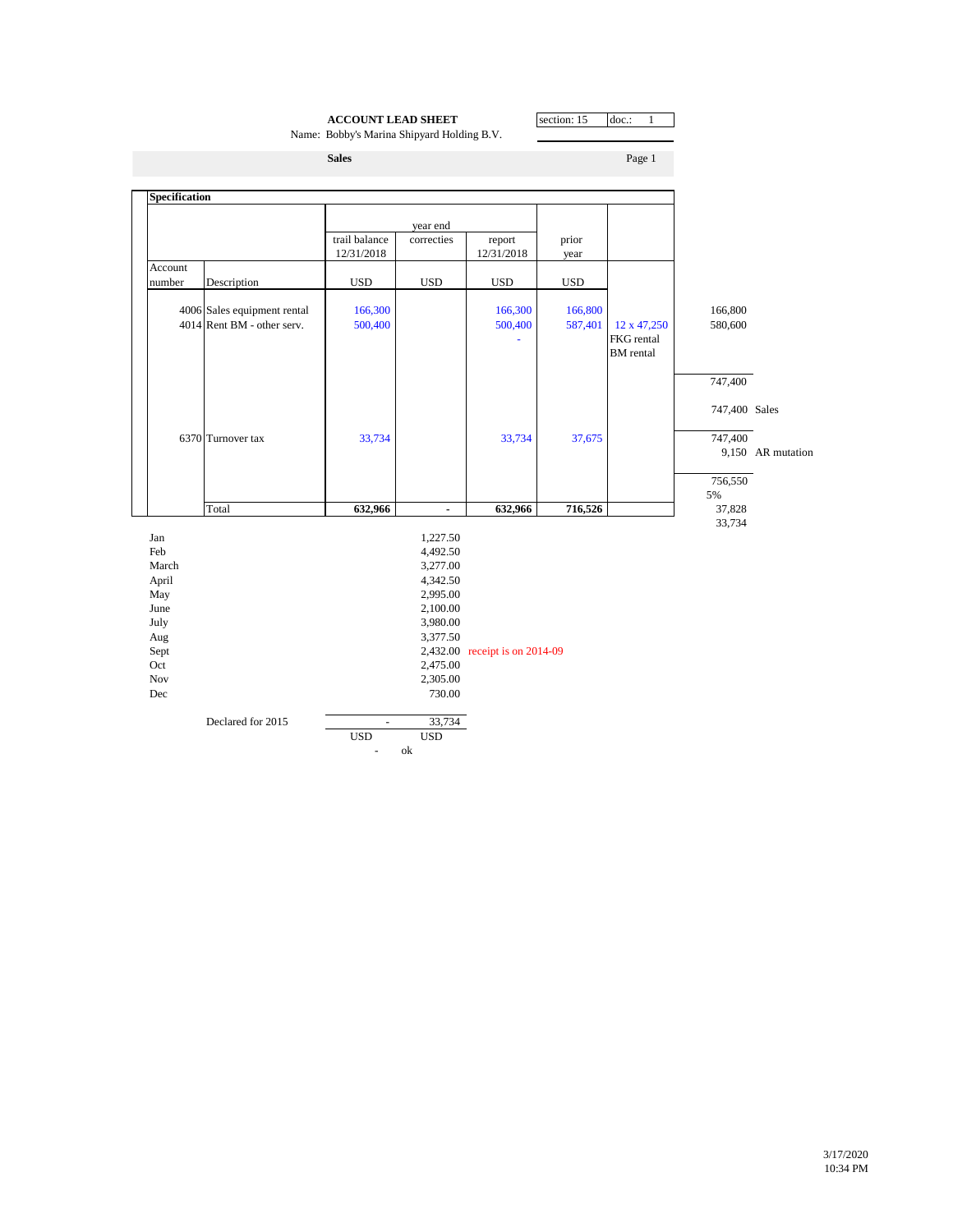|                                                                                                |                                                           | <b>ACCOUNT LEAD SHEET</b><br>Name: Bobby's Marina Shipyard Holding B.V.<br><b>Sales</b> |                                                                                                                                            |                       | section: 15        | doc.<br>1<br>Page 1                           |                    |                   |
|------------------------------------------------------------------------------------------------|-----------------------------------------------------------|-----------------------------------------------------------------------------------------|--------------------------------------------------------------------------------------------------------------------------------------------|-----------------------|--------------------|-----------------------------------------------|--------------------|-------------------|
| <b>Specification</b>                                                                           |                                                           |                                                                                         |                                                                                                                                            |                       |                    |                                               |                    |                   |
|                                                                                                |                                                           |                                                                                         |                                                                                                                                            |                       |                    |                                               |                    |                   |
|                                                                                                |                                                           | trail balance<br>12/31/2018                                                             | year end<br>correcties                                                                                                                     | report<br>12/31/2018  | prior<br>year      |                                               |                    |                   |
| Account<br>number                                                                              | Description                                               | <b>USD</b>                                                                              | <b>USD</b>                                                                                                                                 | <b>USD</b>            | <b>USD</b>         |                                               |                    |                   |
|                                                                                                | 4006 Sales equipment rental<br>4014 Rent BM - other serv. | 166,300<br>500,400                                                                      |                                                                                                                                            | 166,300<br>500,400    | 166,800<br>587,401 | 12 x 47,250<br>FKG rental<br><b>BM</b> rental | 166,800<br>580,600 |                   |
|                                                                                                |                                                           |                                                                                         |                                                                                                                                            |                       |                    |                                               | 747,400            |                   |
|                                                                                                |                                                           |                                                                                         |                                                                                                                                            |                       |                    |                                               | 747,400 Sales      |                   |
|                                                                                                | 6370 Turnover tax                                         | 33,734                                                                                  |                                                                                                                                            | 33,734                | 37,675             |                                               | 747,400            | 9,150 AR mutation |
|                                                                                                |                                                           |                                                                                         |                                                                                                                                            |                       |                    |                                               | 756,550<br>5%      |                   |
|                                                                                                | Total                                                     | 632,966                                                                                 | $\blacksquare$                                                                                                                             | 632,966               | 716,526            |                                               | 37,828             |                   |
| Jan<br>Feb<br>March<br>April<br>May<br>June<br>July<br>Aug<br>Sept<br>Oct<br><b>Nov</b><br>Dec |                                                           |                                                                                         | 1,227.50<br>4,492.50<br>3,277.00<br>4,342.50<br>2,995.00<br>2,100.00<br>3,980.00<br>3,377.50<br>2,432.00<br>2,475.00<br>2,305.00<br>730.00 | receipt is on 2014-09 |                    |                                               | 33,734             |                   |
|                                                                                                | Declared for 2015                                         |                                                                                         | 33,734                                                                                                                                     |                       |                    |                                               |                    |                   |
|                                                                                                |                                                           | <b>USD</b><br>$\overline{\phantom{a}}$                                                  | <b>USD</b><br>ok                                                                                                                           |                       |                    |                                               |                    |                   |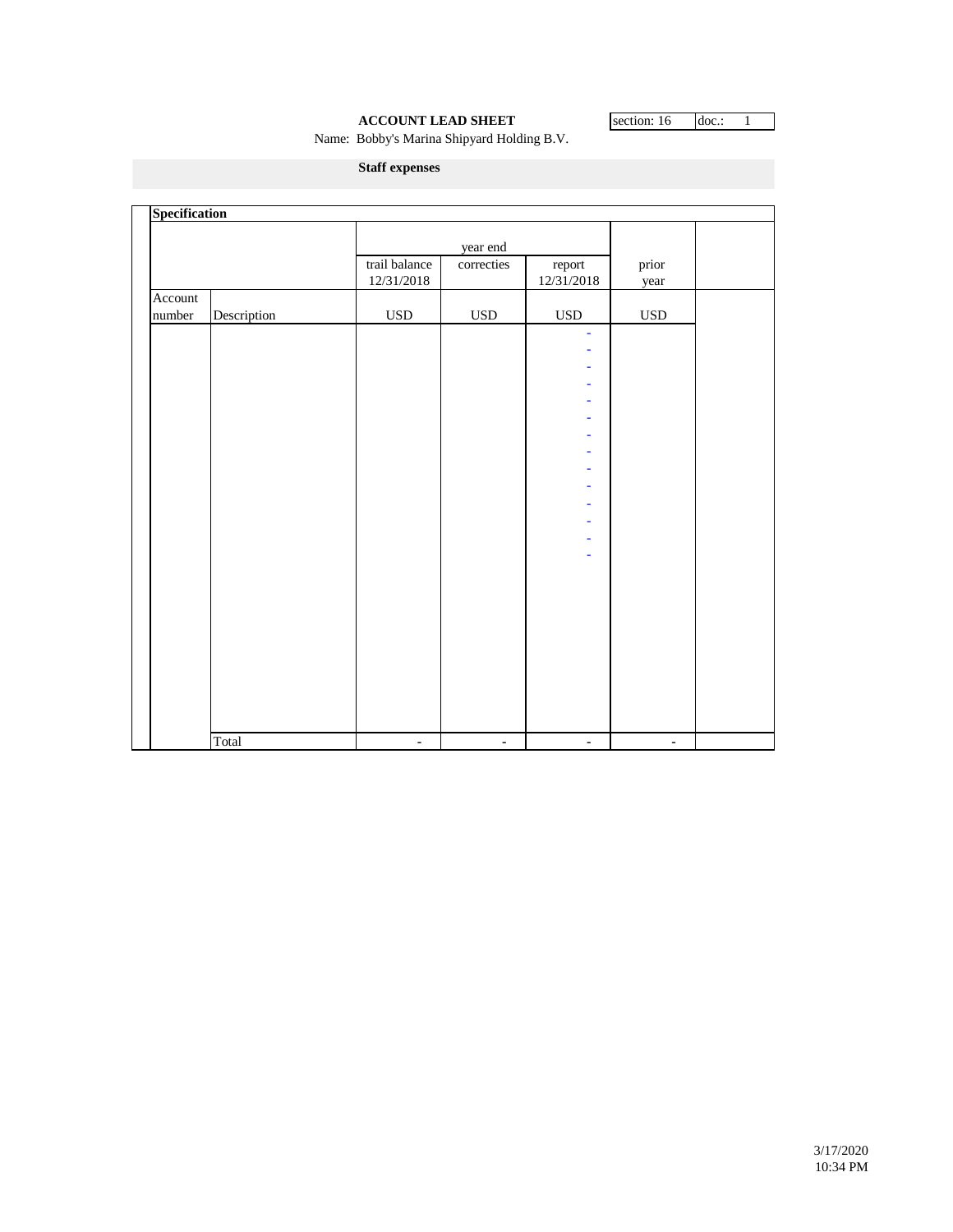#### **ACCOUNT LEAD SHEET** section: 16 doc.: 1

Name: Bobby's Marina Shipyard Holding B.V.

#### **Staff expenses**

| Specification |             |                |                |                      |                |  |
|---------------|-------------|----------------|----------------|----------------------|----------------|--|
|               |             |                |                |                      |                |  |
|               |             | trail balance  | year end       |                      |                |  |
|               |             | 12/31/2018     | correcties     | report<br>12/31/2018 | prior          |  |
| Account       |             |                |                |                      | year           |  |
| number        | Description | $_{\rm USD}$   | $_{\rm USD}$   | $_{\rm USD}$         | $_{\rm USD}$   |  |
|               |             |                |                | $\blacksquare$       |                |  |
|               |             |                |                | ٠                    |                |  |
|               |             |                |                | ٠                    |                |  |
|               |             |                |                | ۰                    |                |  |
|               |             |                |                | Ξ                    |                |  |
|               |             |                |                | ٠                    |                |  |
|               |             |                |                | ٠                    |                |  |
|               |             |                |                | $\equiv$             |                |  |
|               |             |                |                | ۰                    |                |  |
|               |             |                |                | ۰                    |                |  |
|               |             |                |                | ٠                    |                |  |
|               |             |                |                | ٠                    |                |  |
|               |             |                |                | ٠                    |                |  |
|               |             |                |                | ٠                    |                |  |
|               |             |                |                |                      |                |  |
|               |             |                |                |                      |                |  |
|               |             |                |                |                      |                |  |
|               |             |                |                |                      |                |  |
|               |             |                |                |                      |                |  |
|               |             |                |                |                      |                |  |
|               |             |                |                |                      |                |  |
|               |             |                |                |                      |                |  |
|               |             |                |                |                      |                |  |
|               | Total       | $\blacksquare$ | $\blacksquare$ | $\blacksquare$       | $\blacksquare$ |  |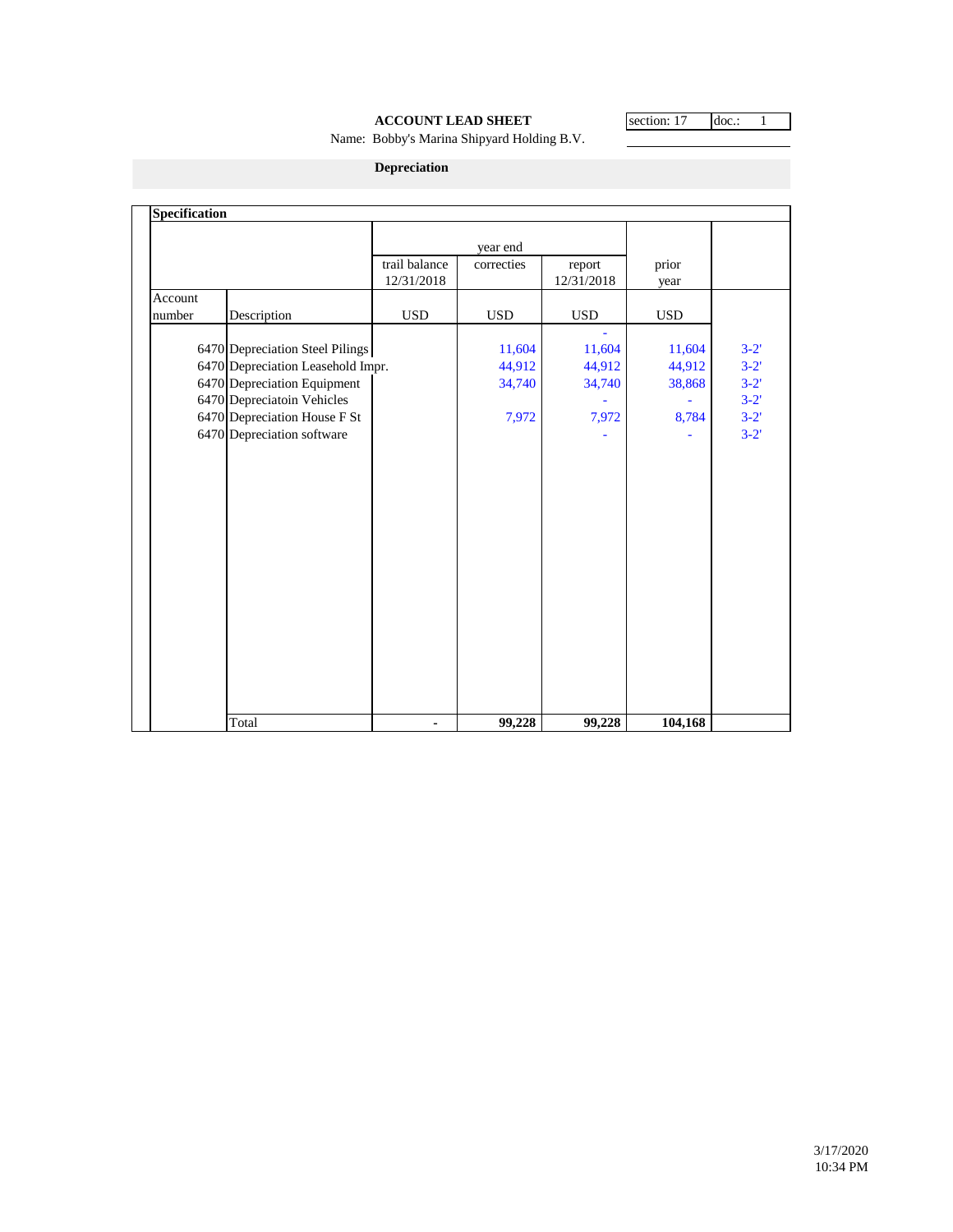#### **ACCOUNT LEAD SHEET** section: 17 doc.: 1

Name: Bobby's Marina Shipyard Holding B.V.

#### **Depreciation**

| <b>Specification</b> |                                   |                             |            |                      |               |          |
|----------------------|-----------------------------------|-----------------------------|------------|----------------------|---------------|----------|
|                      |                                   |                             | year end   |                      |               |          |
|                      |                                   | trail balance<br>12/31/2018 | correcties | report<br>12/31/2018 | prior<br>year |          |
| Account<br>number    | Description                       | <b>USD</b>                  | <b>USD</b> | <b>USD</b>           | <b>USD</b>    |          |
|                      |                                   |                             |            |                      |               |          |
|                      | 6470 Depreciation Steel Pilings   |                             | 11,604     | 11,604               | 11,604        | $3 - 2'$ |
|                      | 6470 Depreciation Leasehold Impr. |                             | 44,912     | 44,912               | 44,912        | $3 - 2'$ |
|                      | 6470 Depreciation Equipment       |                             | 34,740     | 34,740               | 38,868        | $3 - 2'$ |
|                      | 6470 Depreciatoin Vehicles        |                             |            |                      |               | $3 - 2'$ |
|                      | 6470 Depreciation House F St      |                             | 7,972      | 7,972                | 8,784         | $3 - 2'$ |
|                      | 6470 Depreciation software        |                             |            |                      |               | $3 - 2'$ |
|                      |                                   |                             |            |                      |               |          |
|                      | Total                             | ٠                           | 99,228     | 99,228               | 104,168       |          |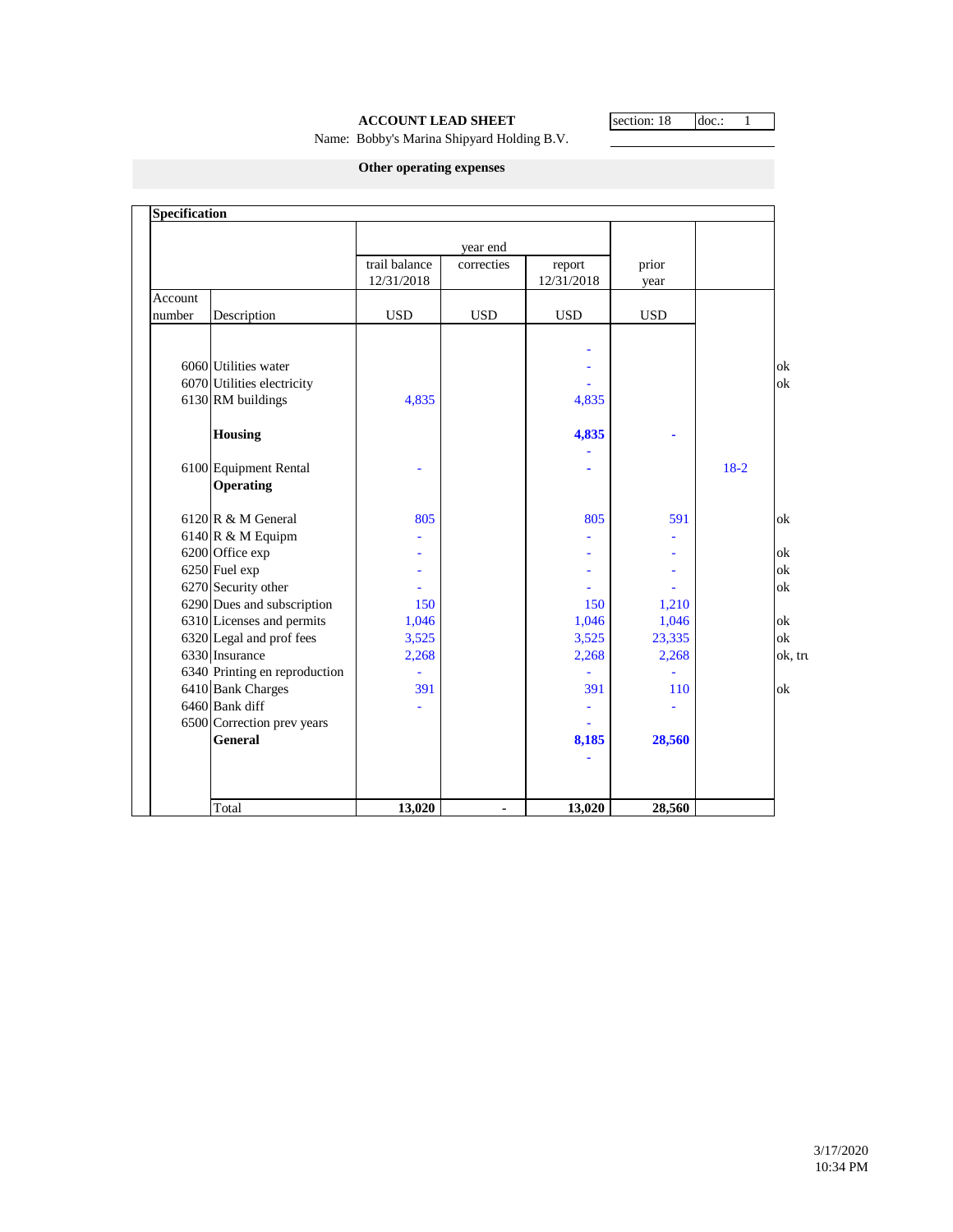#### **ACCOUNT LEAD SHEET** section: 18 doc.: 1

Name: Bobby's Marina Shipyard Holding B.V.

#### **Other operating expenses**

| <b>Specification</b> |                               |               |                |            |            |        |         |
|----------------------|-------------------------------|---------------|----------------|------------|------------|--------|---------|
|                      |                               |               | year end       |            |            |        |         |
|                      |                               | trail balance | correcties     | report     | prior      |        |         |
|                      |                               | 12/31/2018    |                | 12/31/2018 | year       |        |         |
| Account              |                               |               |                |            |            |        |         |
| number               | Description                   | <b>USD</b>    | <b>USD</b>     | <b>USD</b> | <b>USD</b> |        |         |
|                      |                               |               |                |            |            |        |         |
|                      |                               |               |                |            |            |        |         |
|                      | 6060 Utilities water          |               |                |            |            |        | ok      |
|                      | 6070 Utilities electricity    |               |                |            |            |        | ok      |
|                      | 6130 RM buildings             | 4,835         |                | 4,835      |            |        |         |
|                      | <b>Housing</b>                |               |                | 4,835      | ä,         |        |         |
|                      | 6100 Equipment Rental         |               |                |            |            | $18-2$ |         |
|                      | <b>Operating</b>              |               |                |            |            |        |         |
|                      |                               |               |                |            |            |        |         |
|                      | 6120 R & M General            | 805           |                | 805        | 591        |        | ok      |
|                      | 6140 R & M Equipm             |               |                |            |            |        |         |
|                      | 6200 Office exp               |               |                |            |            |        | ok      |
|                      | 6250 Fuel exp                 |               |                |            |            |        | ok      |
|                      | 6270 Security other           |               |                |            |            |        | ok      |
|                      | 6290 Dues and subscription    | 150           |                | 150        | 1,210      |        |         |
|                      | 6310 Licenses and permits     | 1,046         |                | 1,046      | 1,046      |        | ok      |
|                      | 6320 Legal and prof fees      | 3,525         |                | 3,525      | 23,335     |        | ok      |
|                      | 6330 Insurance                | 2,268         |                | 2,268      | 2,268      |        | ok, tru |
|                      | 6340 Printing en reproduction |               |                |            |            |        |         |
|                      | 6410 Bank Charges             | 391           |                | 391        | 110        |        | ok      |
|                      | 6460 Bank diff                |               |                |            | ä          |        |         |
|                      | 6500 Correction prev years    |               |                |            |            |        |         |
|                      | <b>General</b>                |               |                | 8,185      | 28,560     |        |         |
|                      |                               |               |                |            |            |        |         |
|                      | Total                         | 13,020        | $\blacksquare$ | 13,020     | 28,560     |        |         |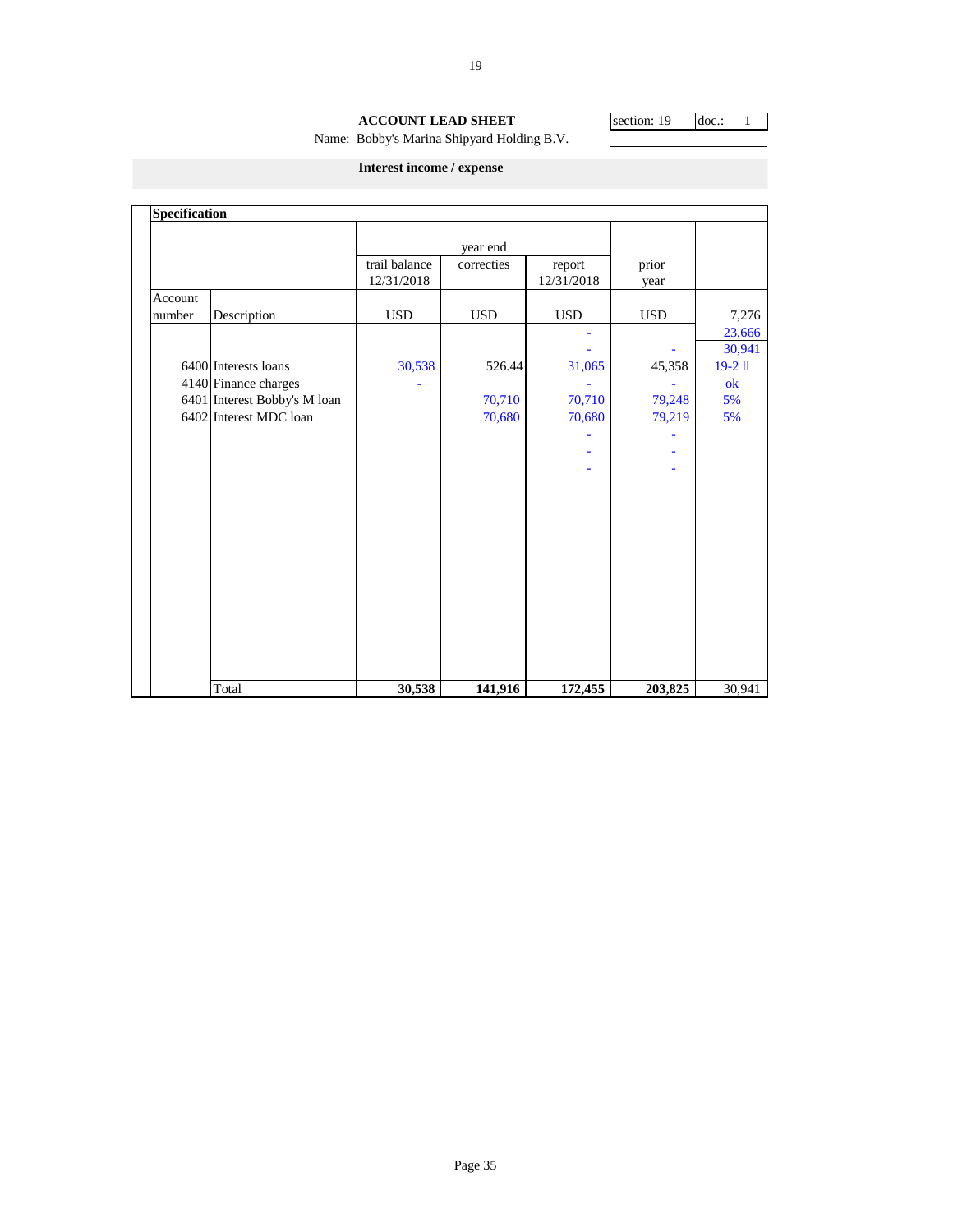#### **ACCOUNT LEAD SHEET** section: 19 doc.: 1

Name: Bobby's Marina Shipyard Holding B.V.

#### **Interest income / expense**

| <b>Specification</b> |                              |                             |            |                      |               |          |  |  |
|----------------------|------------------------------|-----------------------------|------------|----------------------|---------------|----------|--|--|
|                      |                              |                             | year end   |                      |               |          |  |  |
|                      |                              | trail balance<br>12/31/2018 | correcties | report<br>12/31/2018 | prior<br>year |          |  |  |
| Account              |                              |                             |            |                      |               |          |  |  |
| number               | Description                  | <b>USD</b>                  | <b>USD</b> | <b>USD</b>           | <b>USD</b>    | 7,276    |  |  |
|                      |                              |                             |            |                      |               | 23,666   |  |  |
|                      |                              |                             |            |                      |               | 30,941   |  |  |
|                      | 6400 Interests loans         | 30,538                      | 526.44     | 31,065               | 45,358        | $19-211$ |  |  |
|                      | 4140 Finance charges         |                             |            |                      |               | ok       |  |  |
|                      | 6401 Interest Bobby's M loan |                             | 70,710     | 70,710               | 79,248        | 5%       |  |  |
|                      | 6402 Interest MDC loan       |                             | 70,680     | 70,680               | 79,219        | 5%       |  |  |
|                      |                              |                             |            |                      |               |          |  |  |
|                      |                              |                             |            |                      |               |          |  |  |
|                      |                              |                             |            |                      |               |          |  |  |
|                      |                              |                             |            |                      |               |          |  |  |
|                      |                              |                             |            |                      |               |          |  |  |
|                      |                              |                             |            |                      |               |          |  |  |
|                      |                              |                             |            |                      |               |          |  |  |
|                      |                              |                             |            |                      |               |          |  |  |
|                      |                              |                             |            |                      |               |          |  |  |
|                      |                              |                             |            |                      |               |          |  |  |
|                      |                              |                             |            |                      |               |          |  |  |
|                      |                              |                             |            |                      |               |          |  |  |
|                      |                              |                             |            |                      |               |          |  |  |
|                      |                              |                             |            |                      |               |          |  |  |
|                      | Total                        | 30,538                      | 141,916    | 172,455              | 203,825       | 30,941   |  |  |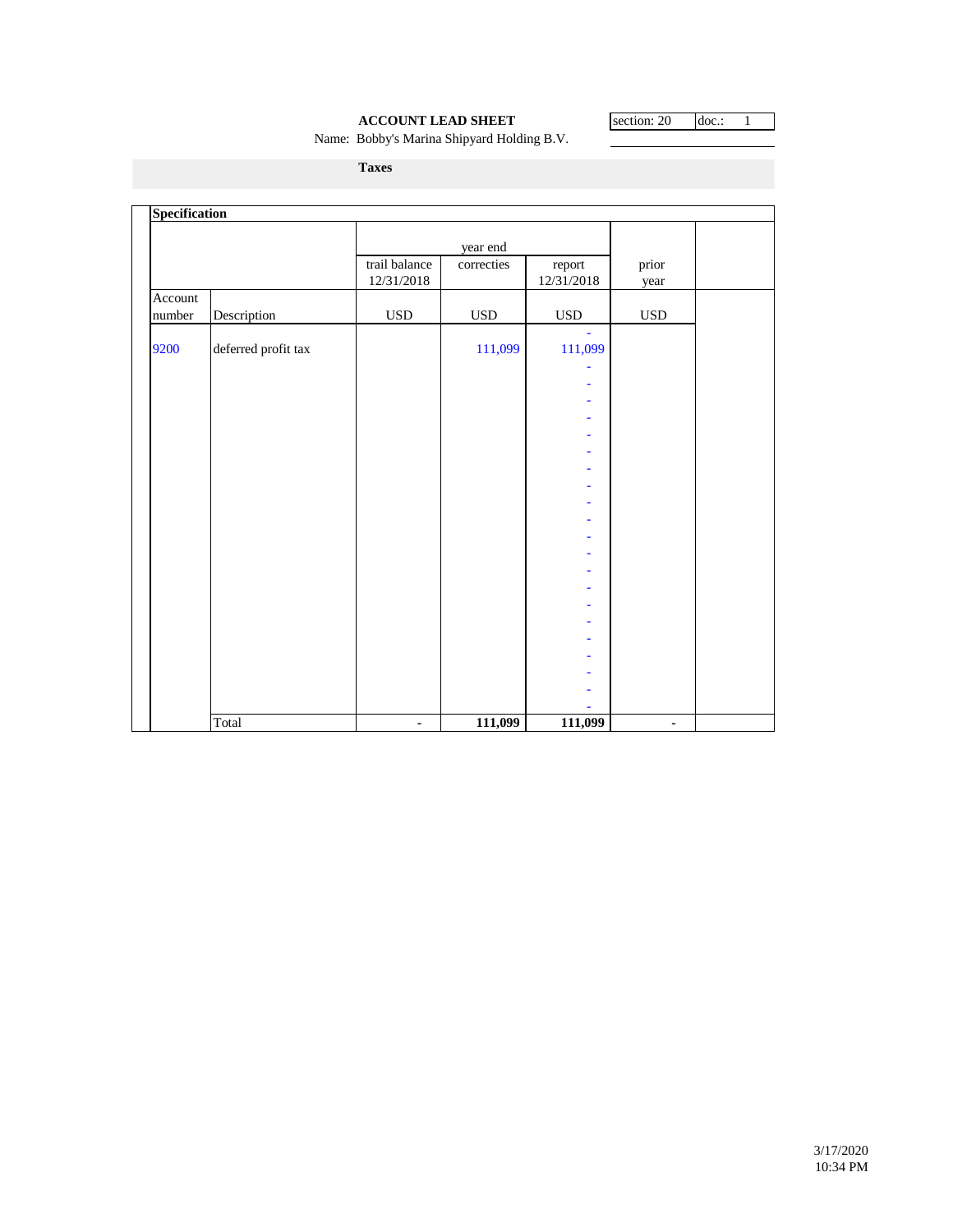#### **ACCOUNT LEAD SHEET** section: 20 doc.: 1

Name: Bobby's Marina Shipyard Holding B.V.

**Taxes**

| <b>Specification</b> |                     |                             |              |                      |                |  |
|----------------------|---------------------|-----------------------------|--------------|----------------------|----------------|--|
|                      |                     |                             | year end     |                      |                |  |
|                      |                     | trail balance<br>12/31/2018 | correcties   | report<br>12/31/2018 | prior<br>year  |  |
| Account<br>number    | Description         | $_{\rm USD}$                | $_{\rm USD}$ | $_{\rm USD}$         | $_{\rm USD}$   |  |
| 9200                 | deferred profit tax |                             | 111,099      | ä,<br>111,099        |                |  |
|                      |                     |                             |              | ÷                    |                |  |
|                      |                     |                             |              | ٠<br>۰               |                |  |
|                      |                     |                             |              | ٠                    |                |  |
|                      |                     |                             |              | Ξ<br>۳               |                |  |
|                      |                     |                             |              | ٠                    |                |  |
|                      |                     |                             |              | ۳                    |                |  |
|                      |                     |                             |              | ۳                    |                |  |
|                      |                     |                             |              |                      |                |  |
|                      |                     |                             |              | ٠<br>٠               |                |  |
|                      |                     |                             |              | ۰                    |                |  |
|                      |                     |                             |              |                      |                |  |
|                      |                     |                             |              | ۰                    |                |  |
|                      |                     |                             |              | ٠                    |                |  |
|                      |                     |                             |              | ۳                    |                |  |
|                      |                     |                             |              |                      |                |  |
|                      | Total               | $\blacksquare$              | 111,099      | 111,099              | $\blacksquare$ |  |